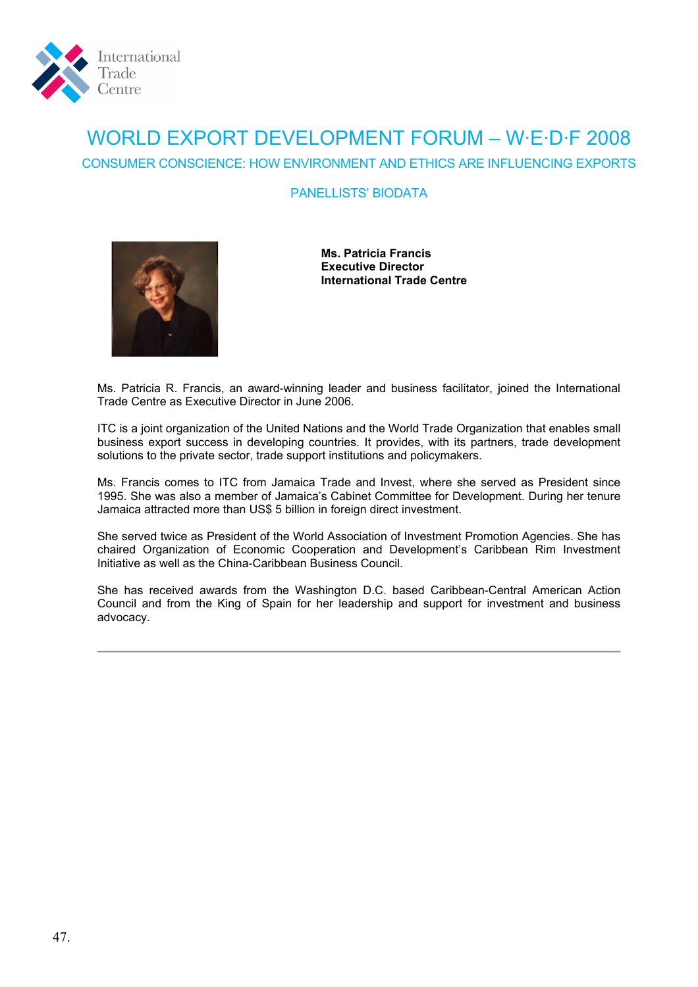

## WORLD EXPORT DEVELOPMENT FORUM – W·E·D·F 2008 CONSUMER CONSCIENCE: HOW ENVIRONMENT AND ETHICS ARE INFLUENCING EXPORTS

## PANELLISTS' BIODATA



**Ms. Patricia Francis Executive Director International Trade Centre** 

Ms. Patricia R. Francis, an award-winning leader and business facilitator, joined the International Trade Centre as Executive Director in June 2006.

ITC is a joint organization of the United Nations and the World Trade Organization that enables small business export success in developing countries. It provides, with its partners, trade development solutions to the private sector, trade support institutions and policymakers.

Ms. Francis comes to ITC from Jamaica Trade and Invest, where she served as President since 1995. She was also a member of Jamaica's Cabinet Committee for Development. During her tenure Jamaica attracted more than US\$ 5 billion in foreign direct investment.

She served twice as President of the World Association of Investment Promotion Agencies. She has chaired Organization of Economic Cooperation and Development's Caribbean Rim Investment Initiative as well as the China-Caribbean Business Council.

She has received awards from the Washington D.C. based Caribbean-Central American Action Council and from the King of Spain for her leadership and support for investment and business advocacy.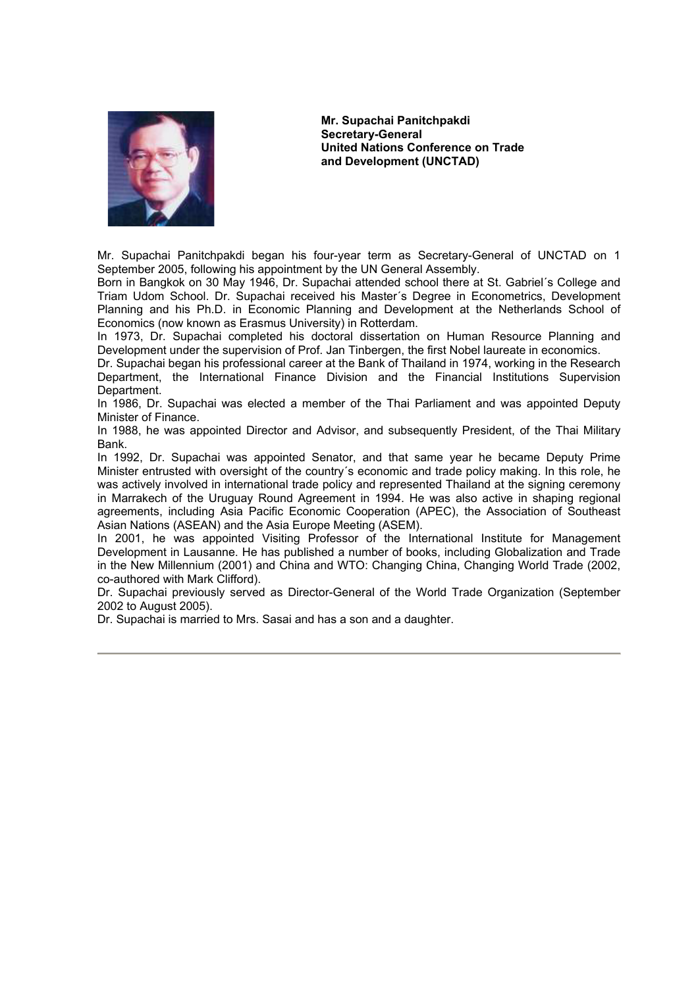

**Mr. Supachai Panitchpakdi Secretary-General United Nations Conference on Trade and Development (UNCTAD)** 

Mr. Supachai Panitchpakdi began his four-year term as Secretary-General of UNCTAD on 1 September 2005, following his appointment by the UN General Assembly.

Born in Bangkok on 30 May 1946, Dr. Supachai attended school there at St. Gabriel´s College and Triam Udom School. Dr. Supachai received his Master´s Degree in Econometrics, Development Planning and his Ph.D. in Economic Planning and Development at the Netherlands School of Economics (now known as Erasmus University) in Rotterdam.

In 1973, Dr. Supachai completed his doctoral dissertation on Human Resource Planning and Development under the supervision of Prof. Jan Tinbergen, the first Nobel laureate in economics.

Dr. Supachai began his professional career at the Bank of Thailand in 1974, working in the Research Department, the International Finance Division and the Financial Institutions Supervision Department.

In 1986, Dr. Supachai was elected a member of the Thai Parliament and was appointed Deputy Minister of Finance.

In 1988, he was appointed Director and Advisor, and subsequently President, of the Thai Military Bank.

In 1992, Dr. Supachai was appointed Senator, and that same year he became Deputy Prime Minister entrusted with oversight of the country´s economic and trade policy making. In this role, he was actively involved in international trade policy and represented Thailand at the signing ceremony in Marrakech of the Uruguay Round Agreement in 1994. He was also active in shaping regional agreements, including Asia Pacific Economic Cooperation (APEC), the Association of Southeast Asian Nations (ASEAN) and the Asia Europe Meeting (ASEM).

In 2001, he was appointed Visiting Professor of the International Institute for Management Development in Lausanne. He has published a number of books, including Globalization and Trade in the New Millennium (2001) and China and WTO: Changing China, Changing World Trade (2002, co-authored with Mark Clifford).

Dr. Supachai previously served as Director-General of the World Trade Organization (September 2002 to August 2005).

Dr. Supachai is married to Mrs. Sasai and has a son and a daughter.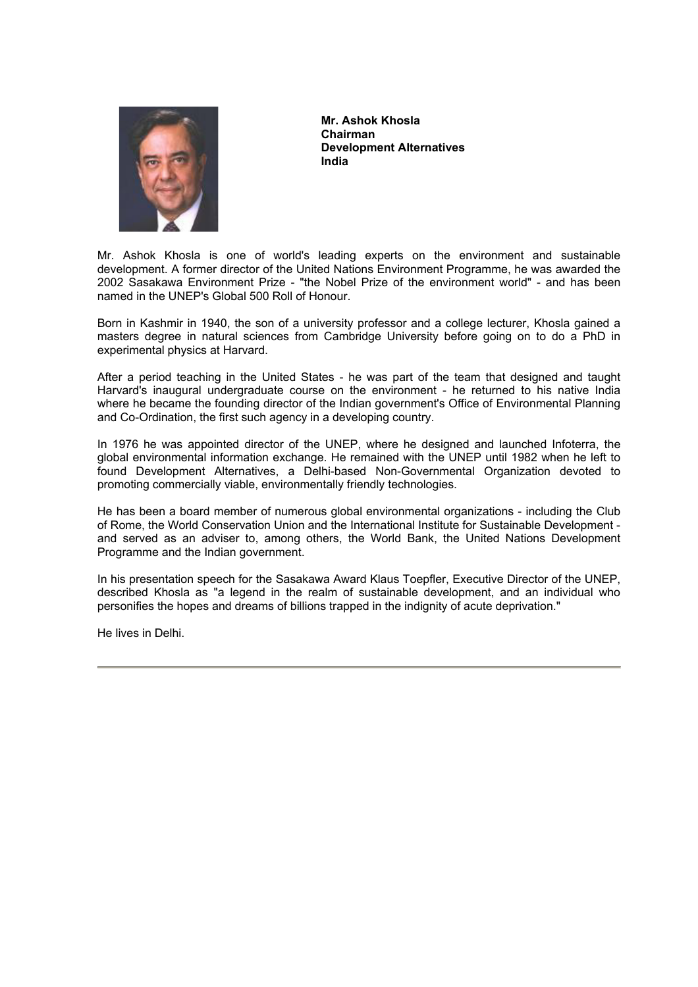

**Mr. Ashok Khosla Chairman Development Alternatives India** 

Mr. Ashok Khosla is one of world's leading experts on the environment and sustainable development. A former director of the United Nations Environment Programme, he was awarded the 2002 Sasakawa Environment Prize - "the Nobel Prize of the environment world" - and has been named in the UNEP's Global 500 Roll of Honour.

Born in Kashmir in 1940, the son of a university professor and a college lecturer, Khosla gained a masters degree in natural sciences from Cambridge University before going on to do a PhD in experimental physics at Harvard.

After a period teaching in the United States - he was part of the team that designed and taught Harvard's inaugural undergraduate course on the environment - he returned to his native India where he became the founding director of the Indian government's Office of Environmental Planning and Co-Ordination, the first such agency in a developing country.

In 1976 he was appointed director of the UNEP, where he designed and launched Infoterra, the global environmental information exchange. He remained with the UNEP until 1982 when he left to found Development Alternatives, a Delhi-based Non-Governmental Organization devoted to promoting commercially viable, environmentally friendly technologies.

He has been a board member of numerous global environmental organizations - including the Club of Rome, the World Conservation Union and the International Institute for Sustainable Development and served as an adviser to, among others, the World Bank, the United Nations Development Programme and the Indian government.

In his presentation speech for the Sasakawa Award Klaus Toepfler, Executive Director of the UNEP, described Khosla as "a legend in the realm of sustainable development, and an individual who personifies the hopes and dreams of billions trapped in the indignity of acute deprivation."

He lives in Delhi.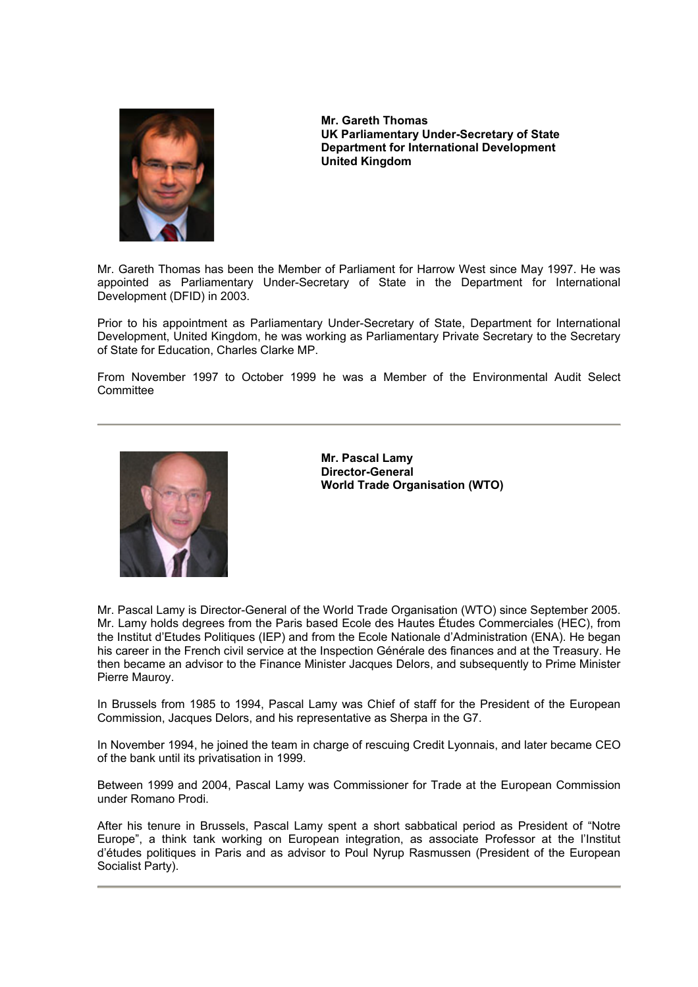

**Mr. Gareth Thomas UK Parliamentary Under-Secretary of State Department for International Development United Kingdom** 

Mr. Gareth Thomas has been the Member of Parliament for Harrow West since May 1997. He was appointed as Parliamentary Under-Secretary of State in the Department for International Development (DFID) in 2003.

Prior to his appointment as Parliamentary Under-Secretary of State, Department for International Development, United Kingdom, he was working as Parliamentary Private Secretary to the Secretary of State for Education, Charles Clarke MP.

From November 1997 to October 1999 he was a Member of the Environmental Audit Select **Committee** 



**Mr. Pascal Lamy Director-General World Trade Organisation (WTO)** 

Mr. Pascal Lamy is Director-General of the World Trade Organisation (WTO) since September 2005. Mr. Lamy holds degrees from the Paris based Ecole des Hautes Études Commerciales (HEC), from the Institut d'Etudes Politiques (IEP) and from the Ecole Nationale d'Administration (ENA). He began his career in the French civil service at the Inspection Générale des finances and at the Treasury. He then became an advisor to the Finance Minister Jacques Delors, and subsequently to Prime Minister Pierre Mauroy.

In Brussels from 1985 to 1994, Pascal Lamy was Chief of staff for the President of the European Commission, Jacques Delors, and his representative as Sherpa in the G7.

In November 1994, he joined the team in charge of rescuing Credit Lyonnais, and later became CEO of the bank until its privatisation in 1999.

Between 1999 and 2004, Pascal Lamy was Commissioner for Trade at the European Commission under Romano Prodi.

After his tenure in Brussels, Pascal Lamy spent a short sabbatical period as President of "Notre Europe", a think tank working on European integration, as associate Professor at the l'Institut d'études politiques in Paris and as advisor to Poul Nyrup Rasmussen (President of the European Socialist Party).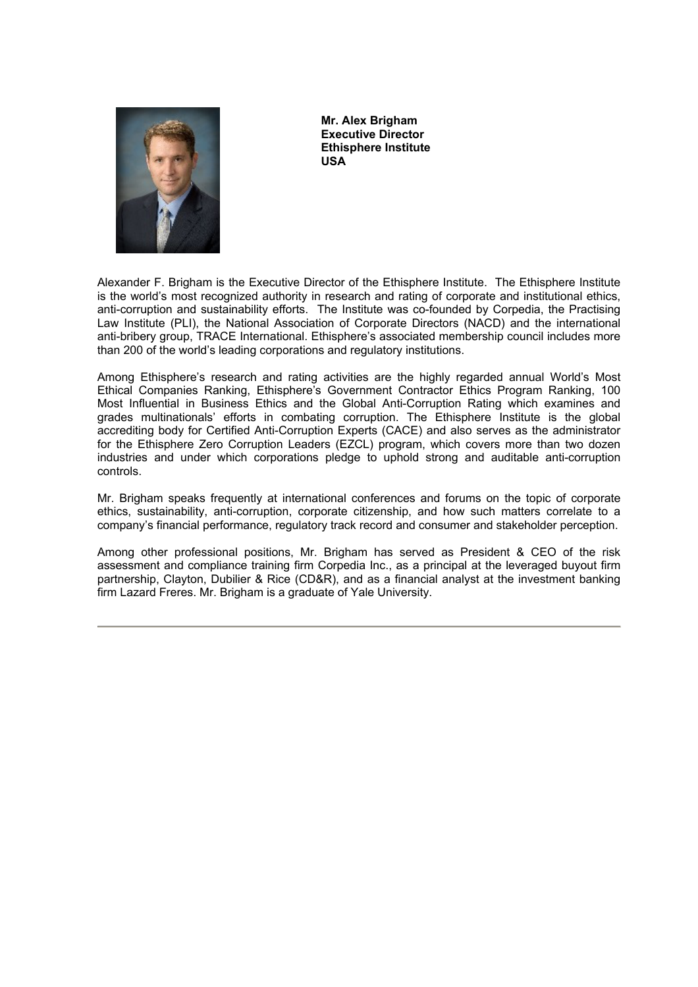

**Mr. Alex Brigham Executive Director Ethisphere Institute USA** 

Alexander F. Brigham is the Executive Director of the Ethisphere Institute. The Ethisphere Institute is the world's most recognized authority in research and rating of corporate and institutional ethics, anti-corruption and sustainability efforts. The Institute was co-founded by Corpedia, the Practising Law Institute (PLI), the National Association of Corporate Directors (NACD) and the international anti-bribery group, TRACE International. Ethisphere's associated membership council includes more than 200 of the world's leading corporations and regulatory institutions.

Among Ethisphere's research and rating activities are the highly regarded annual World's Most Ethical Companies Ranking, Ethisphere's Government Contractor Ethics Program Ranking, 100 Most Influential in Business Ethics and the Global Anti-Corruption Rating which examines and grades multinationals' efforts in combating corruption. The Ethisphere Institute is the global accrediting body for Certified Anti-Corruption Experts (CACE) and also serves as the administrator for the Ethisphere Zero Corruption Leaders (EZCL) program, which covers more than two dozen industries and under which corporations pledge to uphold strong and auditable anti-corruption controls.

Mr. Brigham speaks frequently at international conferences and forums on the topic of corporate ethics, sustainability, anti-corruption, corporate citizenship, and how such matters correlate to a company's financial performance, regulatory track record and consumer and stakeholder perception.

Among other professional positions, Mr. Brigham has served as President & CEO of the risk assessment and compliance training firm Corpedia Inc., as a principal at the leveraged buyout firm partnership, Clayton, Dubilier & Rice (CD&R), and as a financial analyst at the investment banking firm Lazard Freres. Mr. Brigham is a graduate of Yale University.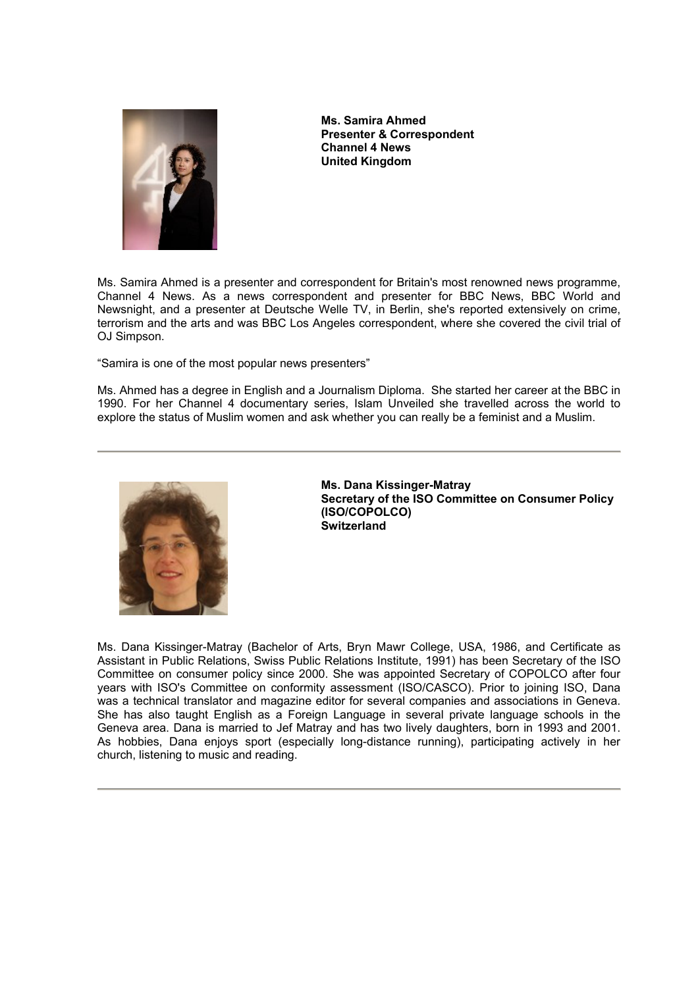

**Ms. Samira Ahmed Presenter & Correspondent Channel 4 News United Kingdom** 

Ms. Samira Ahmed is a presenter and correspondent for Britain's most renowned news programme, Channel 4 News. As a news correspondent and presenter for BBC News, BBC World and Newsnight, and a presenter at Deutsche Welle TV, in Berlin, she's reported extensively on crime, terrorism and the arts and was BBC Los Angeles correspondent, where she covered the civil trial of OJ Simpson.

"Samira is one of the most popular news presenters"

Ms. Ahmed has a degree in English and a Journalism Diploma. She started her career at the BBC in 1990. For her Channel 4 documentary series, Islam Unveiled she travelled across the world to explore the status of Muslim women and ask whether you can really be a feminist and a Muslim.



**Ms. Dana Kissinger-Matray Secretary of the ISO Committee on Consumer Policy (ISO/COPOLCO) Switzerland** 

Ms. Dana Kissinger-Matray (Bachelor of Arts, Bryn Mawr College, USA, 1986, and Certificate as Assistant in Public Relations, Swiss Public Relations Institute, 1991) has been Secretary of the ISO Committee on consumer policy since 2000. She was appointed Secretary of COPOLCO after four years with ISO's Committee on conformity assessment (ISO/CASCO). Prior to joining ISO, Dana was a technical translator and magazine editor for several companies and associations in Geneva. She has also taught English as a Foreign Language in several private language schools in the Geneva area. Dana is married to Jef Matray and has two lively daughters, born in 1993 and 2001. As hobbies, Dana enjoys sport (especially long-distance running), participating actively in her church, listening to music and reading.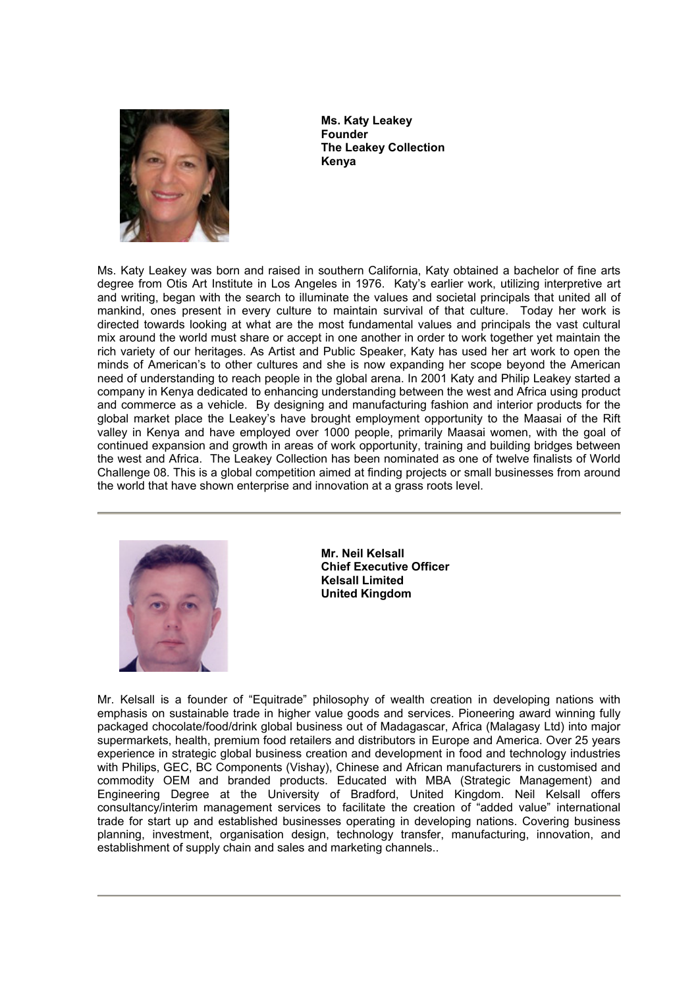

**Ms. Katy Leakey Founder The Leakey Collection Kenya** 

Ms. Katy Leakey was born and raised in southern California, Katy obtained a bachelor of fine arts degree from Otis Art Institute in Los Angeles in 1976. Katy's earlier work, utilizing interpretive art and writing, began with the search to illuminate the values and societal principals that united all of mankind, ones present in every culture to maintain survival of that culture. Today her work is directed towards looking at what are the most fundamental values and principals the vast cultural mix around the world must share or accept in one another in order to work together yet maintain the rich variety of our heritages. As Artist and Public Speaker, Katy has used her art work to open the minds of American's to other cultures and she is now expanding her scope beyond the American need of understanding to reach people in the global arena. In 2001 Katy and Philip Leakey started a company in Kenya dedicated to enhancing understanding between the west and Africa using product and commerce as a vehicle. By designing and manufacturing fashion and interior products for the global market place the Leakey's have brought employment opportunity to the Maasai of the Rift valley in Kenya and have employed over 1000 people, primarily Maasai women, with the goal of continued expansion and growth in areas of work opportunity, training and building bridges between the west and Africa. The Leakey Collection has been nominated as one of twelve finalists of World Challenge 08. This is a global competition aimed at finding projects or small businesses from around the world that have shown enterprise and innovation at a grass roots level.



**Mr. Neil Kelsall Chief Executive Officer Kelsall Limited United Kingdom** 

Mr. Kelsall is a founder of "Equitrade" philosophy of wealth creation in developing nations with emphasis on sustainable trade in higher value goods and services. Pioneering award winning fully packaged chocolate/food/drink global business out of Madagascar, Africa (Malagasy Ltd) into major supermarkets, health, premium food retailers and distributors in Europe and America. Over 25 years experience in strategic global business creation and development in food and technology industries with Philips, GEC, BC Components (Vishay), Chinese and African manufacturers in customised and commodity OEM and branded products. Educated with MBA (Strategic Management) and Engineering Degree at the University of Bradford, United Kingdom. Neil Kelsall offers consultancy/interim management services to facilitate the creation of "added value" international trade for start up and established businesses operating in developing nations. Covering business planning, investment, organisation design, technology transfer, manufacturing, innovation, and establishment of supply chain and sales and marketing channels..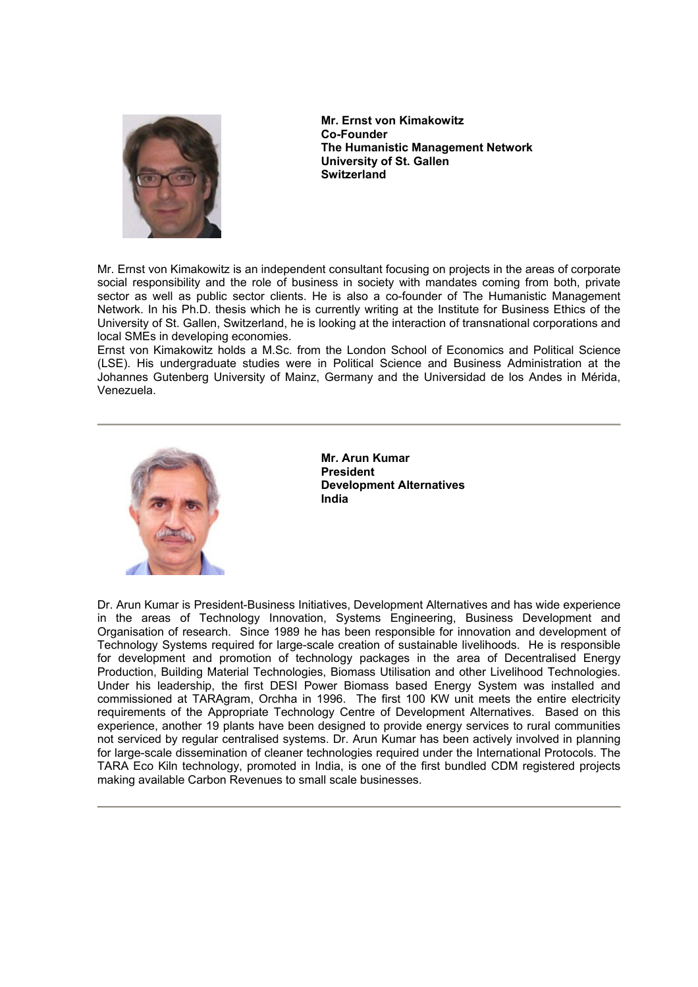

**Mr. Ernst von Kimakowitz Co-Founder The Humanistic Management Network University of St. Gallen Switzerland** 

Mr. Ernst von Kimakowitz is an independent consultant focusing on projects in the areas of corporate social responsibility and the role of business in society with mandates coming from both, private sector as well as public sector clients. He is also a co-founder of The Humanistic Management Network. In his Ph.D. thesis which he is currently writing at the Institute for Business Ethics of the University of St. Gallen, Switzerland, he is looking at the interaction of transnational corporations and local SMEs in developing economies.

Ernst von Kimakowitz holds a M.Sc. from the London School of Economics and Political Science (LSE). His undergraduate studies were in Political Science and Business Administration at the Johannes Gutenberg University of Mainz, Germany and the Universidad de los Andes in Mérida, Venezuela.



**Mr. Arun Kumar President Development Alternatives India** 

Dr. Arun Kumar is President-Business Initiatives, Development Alternatives and has wide experience in the areas of Technology Innovation, Systems Engineering, Business Development and Organisation of research. Since 1989 he has been responsible for innovation and development of Technology Systems required for large-scale creation of sustainable livelihoods. He is responsible for development and promotion of technology packages in the area of Decentralised Energy Production, Building Material Technologies, Biomass Utilisation and other Livelihood Technologies. Under his leadership, the first DESI Power Biomass based Energy System was installed and commissioned at TARAgram, Orchha in 1996. The first 100 KW unit meets the entire electricity requirements of the Appropriate Technology Centre of Development Alternatives. Based on this experience, another 19 plants have been designed to provide energy services to rural communities not serviced by regular centralised systems. Dr. Arun Kumar has been actively involved in planning for large-scale dissemination of cleaner technologies required under the International Protocols. The TARA Eco Kiln technology, promoted in India, is one of the first bundled CDM registered projects making available Carbon Revenues to small scale businesses.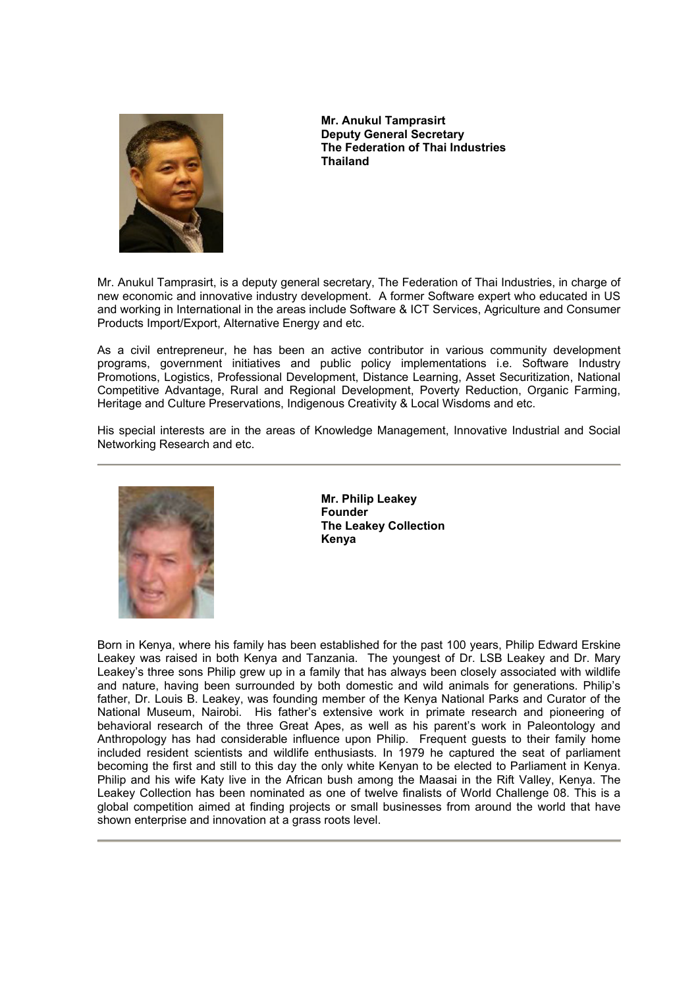

**Mr. Anukul Tamprasirt Deputy General Secretary The Federation of Thai Industries Thailand** 

Mr. Anukul Tamprasirt, is a deputy general secretary, The Federation of Thai Industries, in charge of new economic and innovative industry development. A former Software expert who educated in US and working in International in the areas include Software & ICT Services, Agriculture and Consumer Products Import/Export, Alternative Energy and etc.

As a civil entrepreneur, he has been an active contributor in various community development programs, government initiatives and public policy implementations i.e. Software Industry Promotions, Logistics, Professional Development, Distance Learning, Asset Securitization, National Competitive Advantage, Rural and Regional Development, Poverty Reduction, Organic Farming, Heritage and Culture Preservations, Indigenous Creativity & Local Wisdoms and etc.

His special interests are in the areas of Knowledge Management, Innovative Industrial and Social Networking Research and etc.



**Mr. Philip Leakey Founder The Leakey Collection Kenya** 

Born in Kenya, where his family has been established for the past 100 years, Philip Edward Erskine Leakey was raised in both Kenya and Tanzania. The youngest of Dr. LSB Leakey and Dr. Mary Leakey's three sons Philip grew up in a family that has always been closely associated with wildlife and nature, having been surrounded by both domestic and wild animals for generations. Philip's father, Dr. Louis B. Leakey, was founding member of the Kenya National Parks and Curator of the National Museum, Nairobi. His father's extensive work in primate research and pioneering of behavioral research of the three Great Apes, as well as his parent's work in Paleontology and Anthropology has had considerable influence upon Philip. Frequent guests to their family home included resident scientists and wildlife enthusiasts. In 1979 he captured the seat of parliament becoming the first and still to this day the only white Kenyan to be elected to Parliament in Kenya. Philip and his wife Katy live in the African bush among the Maasai in the Rift Valley, Kenya. The Leakey Collection has been nominated as one of twelve finalists of World Challenge 08. This is a global competition aimed at finding projects or small businesses from around the world that have shown enterprise and innovation at a grass roots level.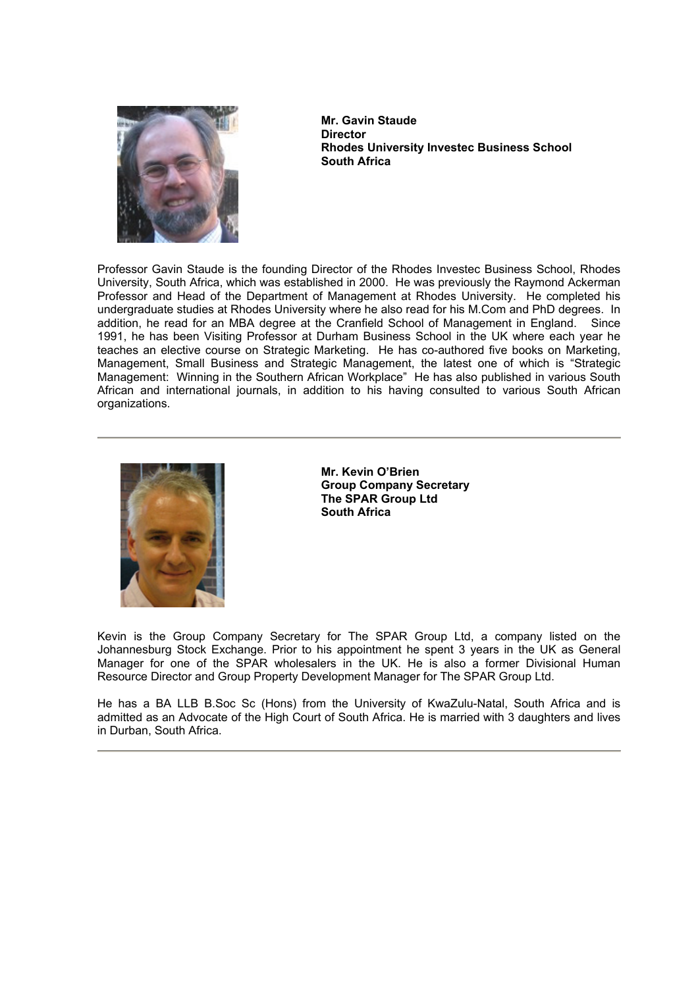

**Mr. Gavin Staude Director Rhodes University Investec Business School South Africa** 

Professor Gavin Staude is the founding Director of the Rhodes Investec Business School, Rhodes University, South Africa, which was established in 2000. He was previously the Raymond Ackerman Professor and Head of the Department of Management at Rhodes University. He completed his undergraduate studies at Rhodes University where he also read for his M.Com and PhD degrees. In addition, he read for an MBA degree at the Cranfield School of Management in England. Since 1991, he has been Visiting Professor at Durham Business School in the UK where each year he teaches an elective course on Strategic Marketing. He has co-authored five books on Marketing, Management, Small Business and Strategic Management, the latest one of which is "Strategic Management: Winning in the Southern African Workplace" He has also published in various South African and international journals, in addition to his having consulted to various South African organizations.



**Mr. Kevin O'Brien Group Company Secretary The SPAR Group Ltd South Africa** 

Kevin is the Group Company Secretary for The SPAR Group Ltd, a company listed on the Johannesburg Stock Exchange. Prior to his appointment he spent 3 years in the UK as General Manager for one of the SPAR wholesalers in the UK. He is also a former Divisional Human Resource Director and Group Property Development Manager for The SPAR Group Ltd.

He has a BA LLB B.Soc Sc (Hons) from the University of KwaZulu-Natal, South Africa and is admitted as an Advocate of the High Court of South Africa. He is married with 3 daughters and lives in Durban, South Africa.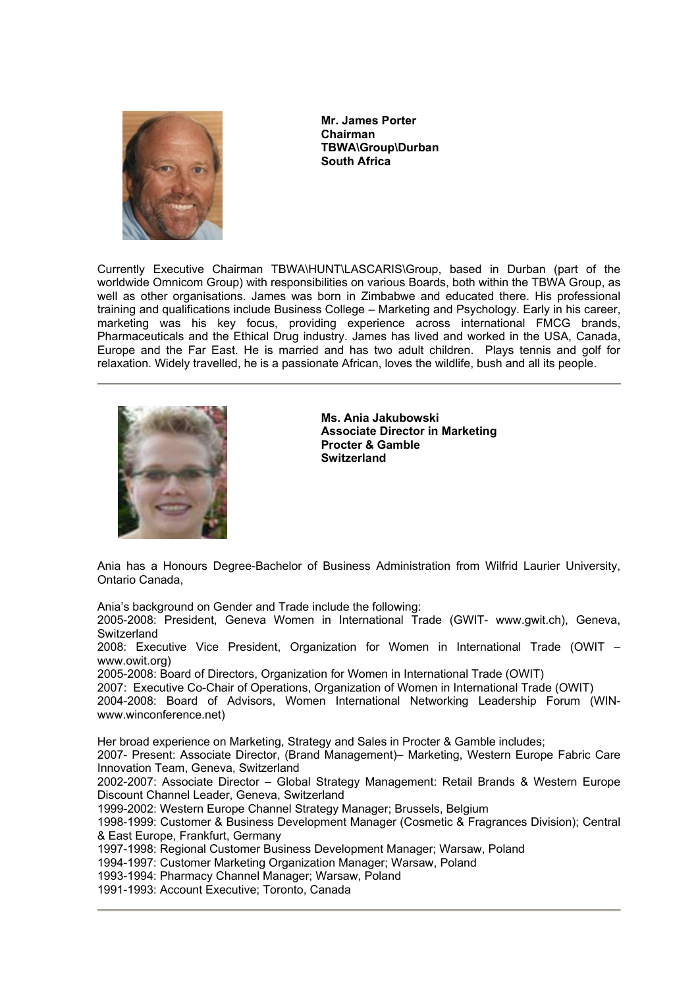

**Mr. James Porter Chairman TBWA\Group\Durban South Africa** 

Currently Executive Chairman TBWA\HUNT\LASCARIS\Group, based in Durban (part of the worldwide Omnicom Group) with responsibilities on various Boards, both within the TBWA Group, as well as other organisations. James was born in Zimbabwe and educated there. His professional training and qualifications include Business College – Marketing and Psychology. Early in his career, marketing was his key focus, providing experience across international FMCG brands, Pharmaceuticals and the Ethical Drug industry. James has lived and worked in the USA, Canada, Europe and the Far East. He is married and has two adult children. Plays tennis and golf for relaxation. Widely travelled, he is a passionate African, loves the wildlife, bush and all its people.



**Ms. Ania Jakubowski Associate Director in Marketing Procter & Gamble Switzerland** 

Ania has a Honours Degree-Bachelor of Business Administration from Wilfrid Laurier University, Ontario Canada,

Ania's background on Gender and Trade include the following:

2005-2008: President, Geneva Women in International Trade (GWIT- www.gwit.ch), Geneva, **Switzerland** 

2008: Executive Vice President, Organization for Women in International Trade (OWIT – www.owit.org)

2005-2008: Board of Directors, Organization for Women in International Trade (OWIT)

2007: Executive Co-Chair of Operations, Organization of Women in International Trade (OWIT)

2004-2008: Board of Advisors, Women International Networking Leadership Forum (WINwww.winconference.net)

Her broad experience on Marketing, Strategy and Sales in Procter & Gamble includes;

2007- Present: Associate Director, (Brand Management)– Marketing, Western Europe Fabric Care Innovation Team, Geneva, Switzerland

2002-2007: Associate Director – Global Strategy Management: Retail Brands & Western Europe Discount Channel Leader, Geneva, Switzerland

1999-2002: Western Europe Channel Strategy Manager; Brussels, Belgium

1998-1999: Customer & Business Development Manager (Cosmetic & Fragrances Division); Central & East Europe, Frankfurt, Germany

1997-1998: Regional Customer Business Development Manager; Warsaw, Poland

1994-1997: Customer Marketing Organization Manager; Warsaw, Poland

1993-1994: Pharmacy Channel Manager; Warsaw, Poland

1991-1993: Account Executive; Toronto, Canada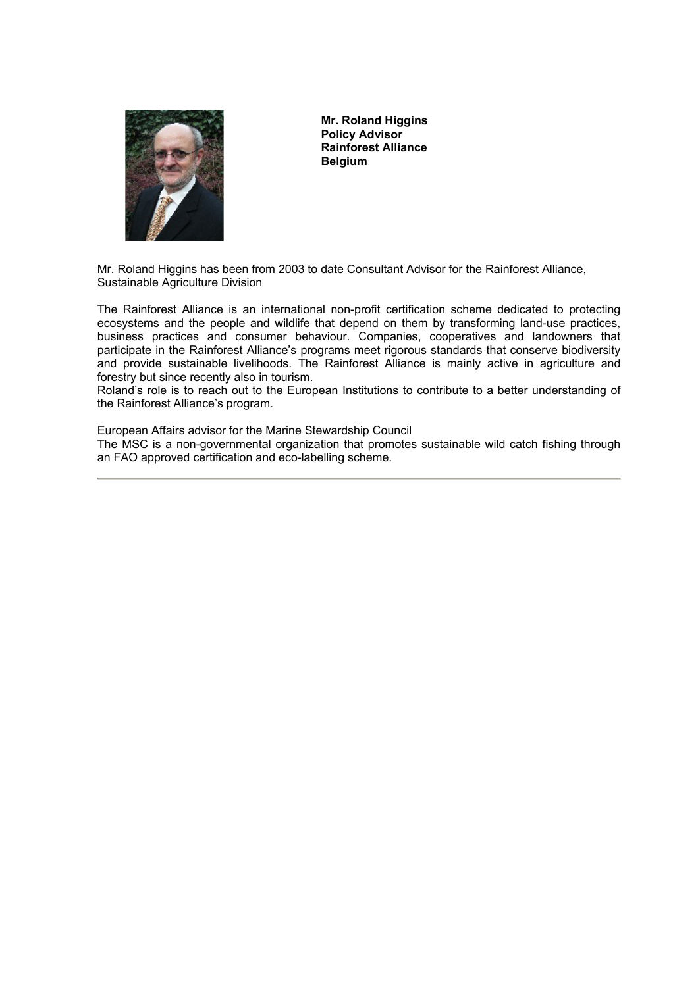

**Mr. Roland Higgins Policy Advisor Rainforest Alliance Belgium**

Mr. Roland Higgins has been from 2003 to date Consultant Advisor for the Rainforest Alliance, Sustainable Agriculture Division

The Rainforest Alliance is an international non-profit certification scheme dedicated to protecting ecosystems and the people and wildlife that depend on them by transforming land-use practices, business practices and consumer behaviour. Companies, cooperatives and landowners that participate in the Rainforest Alliance's programs meet rigorous standards that conserve biodiversity and provide sustainable livelihoods. The Rainforest Alliance is mainly active in agriculture and forestry but since recently also in tourism.

Roland's role is to reach out to the European Institutions to contribute to a better understanding of the Rainforest Alliance's program.

European Affairs advisor for the Marine Stewardship Council

The MSC is a non-governmental organization that promotes sustainable wild catch fishing through an FAO approved certification and eco-labelling scheme.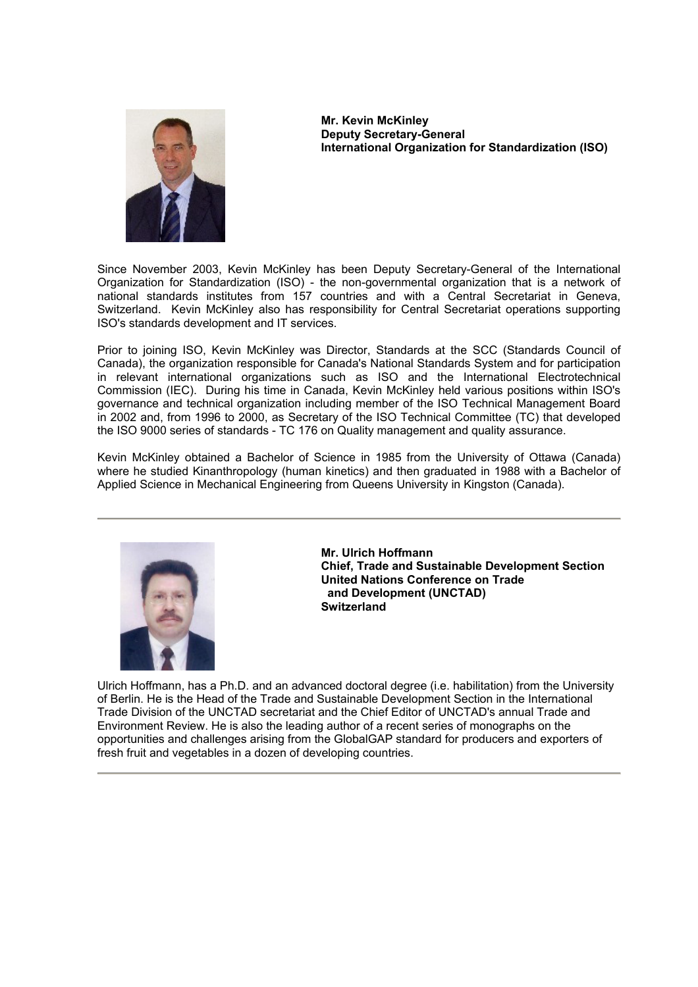

**Mr. Kevin McKinley Deputy Secretary-General International Organization for Standardization (ISO)** 

Since November 2003, Kevin McKinley has been Deputy Secretary-General of the International Organization for Standardization (ISO) - the non-governmental organization that is a network of national standards institutes from 157 countries and with a Central Secretariat in Geneva, Switzerland. Kevin McKinley also has responsibility for Central Secretariat operations supporting ISO's standards development and IT services.

Prior to joining ISO, Kevin McKinley was Director, Standards at the SCC (Standards Council of Canada), the organization responsible for Canada's National Standards System and for participation in relevant international organizations such as ISO and the International Electrotechnical Commission (IEC). During his time in Canada, Kevin McKinley held various positions within ISO's governance and technical organization including member of the ISO Technical Management Board in 2002 and, from 1996 to 2000, as Secretary of the ISO Technical Committee (TC) that developed the ISO 9000 series of standards - TC 176 on Quality management and quality assurance.

Kevin McKinley obtained a Bachelor of Science in 1985 from the University of Ottawa (Canada) where he studied Kinanthropology (human kinetics) and then graduated in 1988 with a Bachelor of Applied Science in Mechanical Engineering from Queens University in Kingston (Canada).



**Mr. Ulrich Hoffmann Chief, Trade and Sustainable Development Section United Nations Conference on Trade and Development (UNCTAD) Switzerland** 

Ulrich Hoffmann, has a Ph.D. and an advanced doctoral degree (i.e. habilitation) from the University of Berlin. He is the Head of the Trade and Sustainable Development Section in the International Trade Division of the UNCTAD secretariat and the Chief Editor of UNCTAD's annual Trade and Environment Review. He is also the leading author of a recent series of monographs on the opportunities and challenges arising from the GlobalGAP standard for producers and exporters of fresh fruit and vegetables in a dozen of developing countries.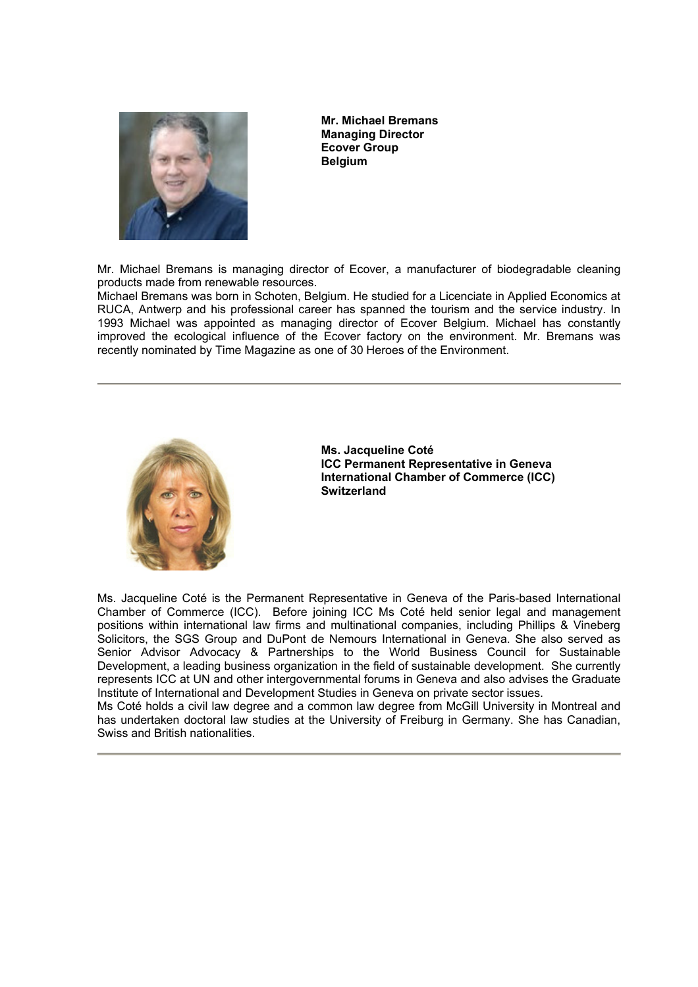

**Mr. Michael Bremans Managing Director Ecover Group Belgium**

Mr. Michael Bremans is managing director of Ecover, a manufacturer of biodegradable cleaning products made from renewable resources.

Michael Bremans was born in Schoten, Belgium. He studied for a Licenciate in Applied Economics at RUCA, Antwerp and his professional career has spanned the tourism and the service industry. In 1993 Michael was appointed as managing director of Ecover Belgium. Michael has constantly improved the ecological influence of the Ecover factory on the environment. Mr. Bremans was recently nominated by Time Magazine as one of 30 Heroes of the Environment.



**Ms. Jacqueline Coté ICC Permanent Representative in Geneva International Chamber of Commerce (ICC) Switzerland** 

Ms. Jacqueline Coté is the Permanent Representative in Geneva of the Paris-based International Chamber of Commerce (ICC). Before joining ICC Ms Coté held senior legal and management positions within international law firms and multinational companies, including Phillips & Vineberg Solicitors, the SGS Group and DuPont de Nemours International in Geneva. She also served as Senior Advisor Advocacy & Partnerships to the World Business Council for Sustainable Development, a leading business organization in the field of sustainable development. She currently represents ICC at UN and other intergovernmental forums in Geneva and also advises the Graduate Institute of International and Development Studies in Geneva on private sector issues.

Ms Coté holds a civil law degree and a common law degree from McGill University in Montreal and has undertaken doctoral law studies at the University of Freiburg in Germany. She has Canadian, Swiss and British nationalities.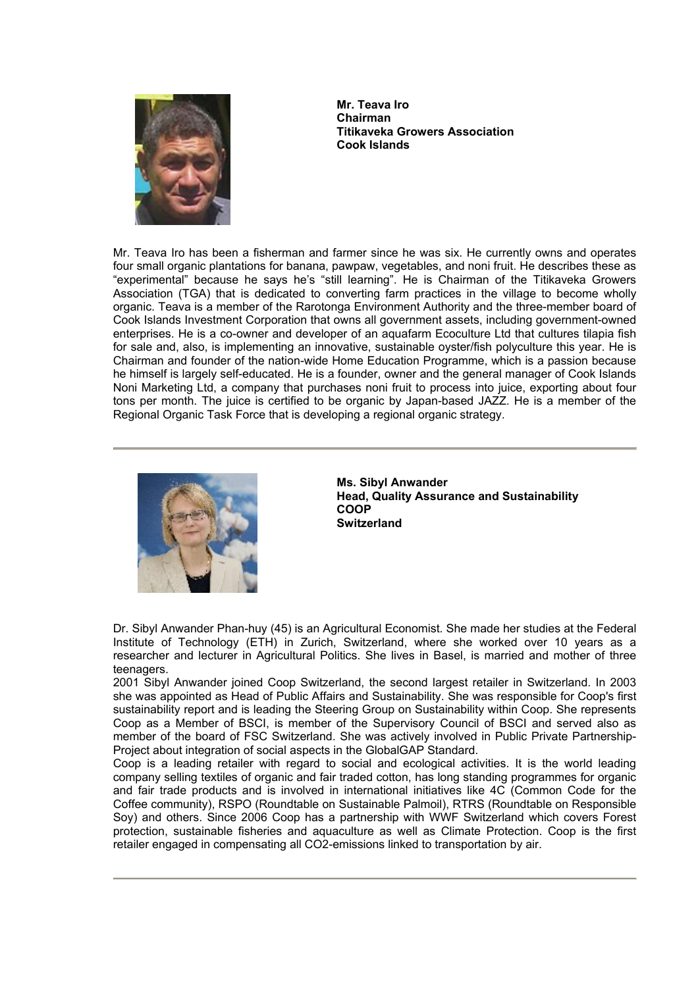

**Mr. Teava Iro Chairman Titikaveka Growers Association Cook Islands** 

Mr. Teava Iro has been a fisherman and farmer since he was six. He currently owns and operates four small organic plantations for banana, pawpaw, vegetables, and noni fruit. He describes these as "experimental" because he says he's "still learning". He is Chairman of the Titikaveka Growers Association (TGA) that is dedicated to converting farm practices in the village to become wholly organic. Teava is a member of the Rarotonga Environment Authority and the three-member board of Cook Islands Investment Corporation that owns all government assets, including government-owned enterprises. He is a co-owner and developer of an aquafarm Ecoculture Ltd that cultures tilapia fish for sale and, also, is implementing an innovative, sustainable oyster/fish polyculture this year. He is Chairman and founder of the nation-wide Home Education Programme, which is a passion because he himself is largely self-educated. He is a founder, owner and the general manager of Cook Islands Noni Marketing Ltd, a company that purchases noni fruit to process into juice, exporting about four tons per month. The juice is certified to be organic by Japan-based JAZZ. He is a member of the Regional Organic Task Force that is developing a regional organic strategy.



**Ms. Sibyl Anwander Head, Quality Assurance and Sustainability COOP Switzerland** 

Dr. Sibyl Anwander Phan-huy (45) is an Agricultural Economist. She made her studies at the Federal Institute of Technology (ETH) in Zurich, Switzerland, where she worked over 10 years as a researcher and lecturer in Agricultural Politics. She lives in Basel, is married and mother of three teenagers.

2001 Sibyl Anwander joined Coop Switzerland, the second largest retailer in Switzerland. In 2003 she was appointed as Head of Public Affairs and Sustainability. She was responsible for Coop's first sustainability report and is leading the Steering Group on Sustainability within Coop. She represents Coop as a Member of BSCI, is member of the Supervisory Council of BSCI and served also as member of the board of FSC Switzerland. She was actively involved in Public Private Partnership-Project about integration of social aspects in the GlobalGAP Standard.

Coop is a leading retailer with regard to social and ecological activities. It is the world leading company selling textiles of organic and fair traded cotton, has long standing programmes for organic and fair trade products and is involved in international initiatives like 4C (Common Code for the Coffee community), RSPO (Roundtable on Sustainable Palmoil), RTRS (Roundtable on Responsible Soy) and others. Since 2006 Coop has a partnership with WWF Switzerland which covers Forest protection, sustainable fisheries and aquaculture as well as Climate Protection. Coop is the first retailer engaged in compensating all CO2-emissions linked to transportation by air.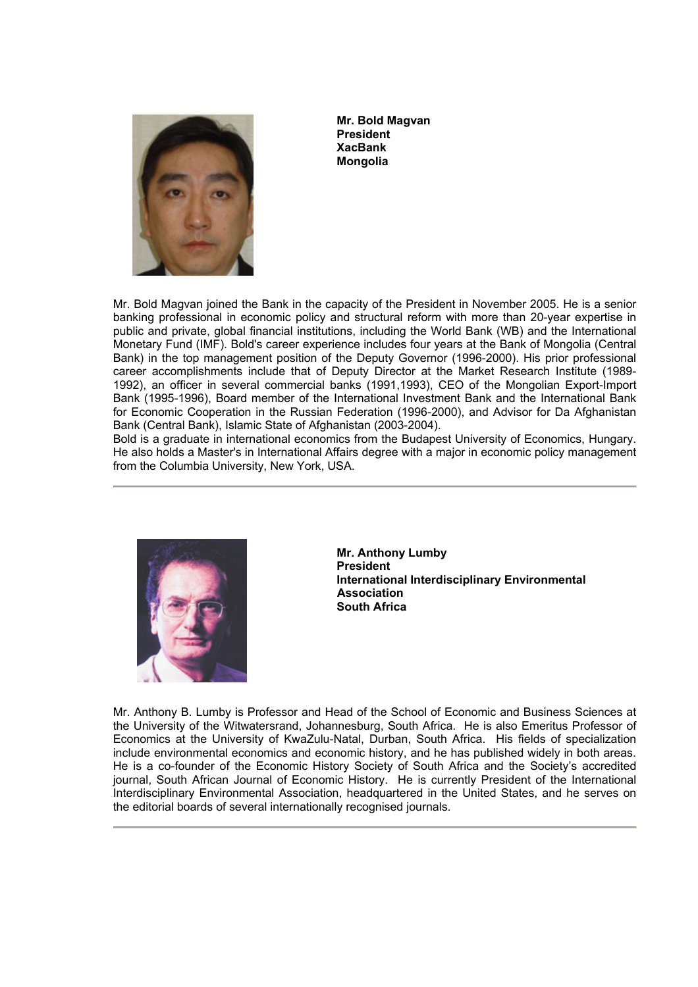

**Mr. Bold Magvan President XacBank Mongolia** 

Mr. Bold Magvan joined the Bank in the capacity of the President in November 2005. He is a senior banking professional in economic policy and structural reform with more than 20-year expertise in public and private, global financial institutions, including the World Bank (WB) and the International Monetary Fund (IMF). Bold's career experience includes four years at the Bank of Mongolia (Central Bank) in the top management position of the Deputy Governor (1996-2000). His prior professional career accomplishments include that of Deputy Director at the Market Research Institute (1989- 1992), an officer in several commercial banks (1991,1993), CEO of the Mongolian Export-Import Bank (1995-1996), Board member of the International Investment Bank and the International Bank for Economic Cooperation in the Russian Federation (1996-2000), and Advisor for Da Afghanistan Bank (Central Bank), Islamic State of Afghanistan (2003-2004).

Bold is a graduate in international economics from the Budapest University of Economics, Hungary. He also holds a Master's in International Affairs degree with a major in economic policy management from the Columbia University, New York, USA.



**Mr. Anthony Lumby President International Interdisciplinary Environmental Association South Africa** 

Mr. Anthony B. Lumby is Professor and Head of the School of Economic and Business Sciences at the University of the Witwatersrand, Johannesburg, South Africa. He is also Emeritus Professor of Economics at the University of KwaZulu-Natal, Durban, South Africa. His fields of specialization include environmental economics and economic history, and he has published widely in both areas. He is a co-founder of the Economic History Society of South Africa and the Society's accredited journal, South African Journal of Economic History. He is currently President of the International Interdisciplinary Environmental Association, headquartered in the United States, and he serves on the editorial boards of several internationally recognised journals.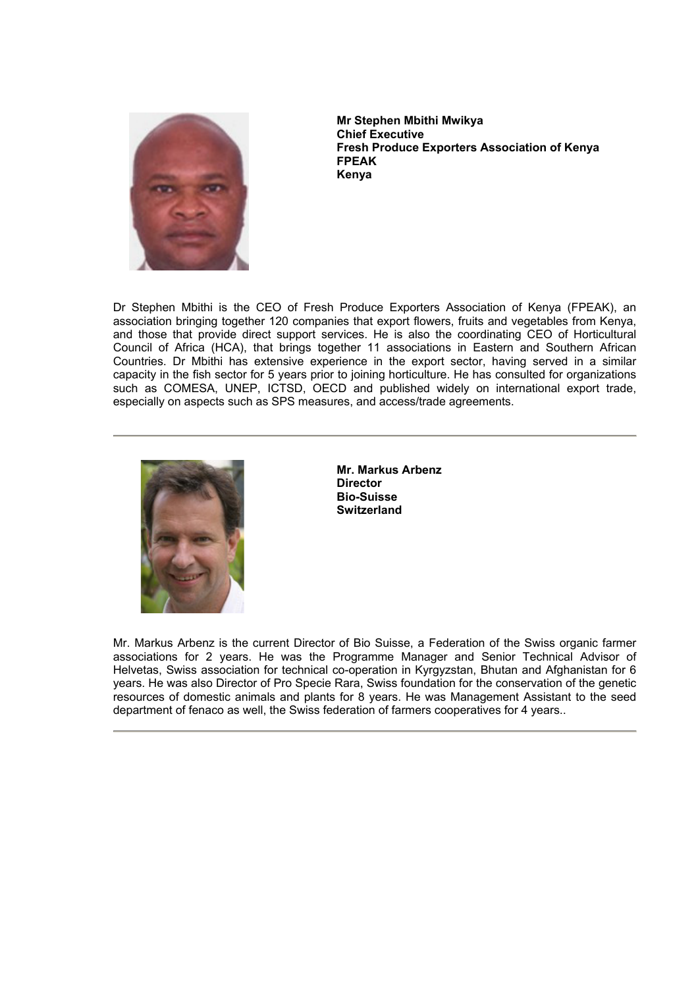

**Mr Stephen Mbithi Mwikya Chief Executive Fresh Produce Exporters Association of Kenya FPEAK Kenya** 

Dr Stephen Mbithi is the CEO of Fresh Produce Exporters Association of Kenya (FPEAK), an association bringing together 120 companies that export flowers, fruits and vegetables from Kenya, and those that provide direct support services. He is also the coordinating CEO of Horticultural Council of Africa (HCA), that brings together 11 associations in Eastern and Southern African Countries. Dr Mbithi has extensive experience in the export sector, having served in a similar capacity in the fish sector for 5 years prior to joining horticulture. He has consulted for organizations such as COMESA, UNEP, ICTSD, OECD and published widely on international export trade, especially on aspects such as SPS measures, and access/trade agreements.



**Mr. Markus Arbenz Director Bio-Suisse Switzerland** 

Mr. Markus Arbenz is the current Director of Bio Suisse, a Federation of the Swiss organic farmer associations for 2 years. He was the Programme Manager and Senior Technical Advisor of Helvetas, Swiss association for technical co-operation in Kyrgyzstan, Bhutan and Afghanistan for 6 years. He was also Director of Pro Specie Rara, Swiss foundation for the conservation of the genetic resources of domestic animals and plants for 8 years. He was Management Assistant to the seed department of fenaco as well, the Swiss federation of farmers cooperatives for 4 years..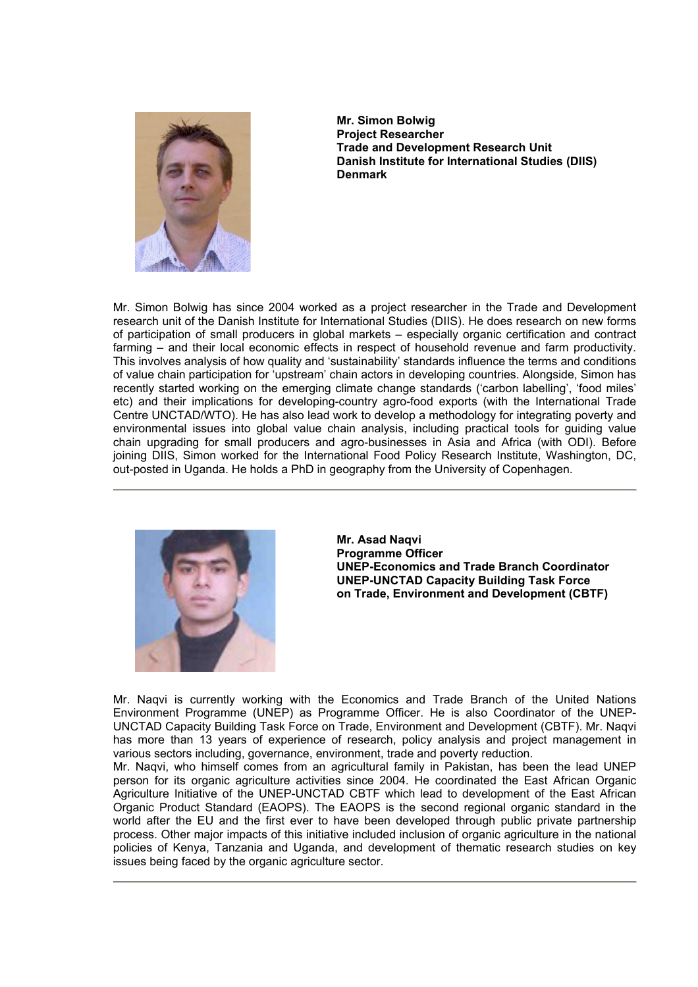

**Mr. Simon Bolwig Project Researcher Trade and Development Research Unit Danish Institute for International Studies (DIIS) Denmark** 

Mr. Simon Bolwig has since 2004 worked as a project researcher in the Trade and Development research unit of the Danish Institute for International Studies (DIIS). He does research on new forms of participation of small producers in global markets – especially organic certification and contract farming – and their local economic effects in respect of household revenue and farm productivity. This involves analysis of how quality and 'sustainability' standards influence the terms and conditions of value chain participation for 'upstream' chain actors in developing countries. Alongside, Simon has recently started working on the emerging climate change standards ('carbon labelling', 'food miles' etc) and their implications for developing-country agro-food exports (with the International Trade Centre UNCTAD/WTO). He has also lead work to develop a methodology for integrating poverty and environmental issues into global value chain analysis, including practical tools for guiding value chain upgrading for small producers and agro-businesses in Asia and Africa (with ODI). Before joining DIIS, Simon worked for the International Food Policy Research Institute, Washington, DC, out-posted in Uganda. He holds a PhD in geography from the University of Copenhagen.



**Mr. Asad Naqvi Programme Officer UNEP-Economics and Trade Branch Coordinator UNEP-UNCTAD Capacity Building Task Force on Trade, Environment and Development (CBTF)** 

Mr. Naqvi is currently working with the Economics and Trade Branch of the United Nations Environment Programme (UNEP) as Programme Officer. He is also Coordinator of the UNEP-UNCTAD Capacity Building Task Force on Trade, Environment and Development (CBTF). Mr. Naqvi has more than 13 years of experience of research, policy analysis and project management in various sectors including, governance, environment, trade and poverty reduction.

Mr. Naqvi, who himself comes from an agricultural family in Pakistan, has been the lead UNEP person for its organic agriculture activities since 2004. He coordinated the East African Organic Agriculture Initiative of the UNEP-UNCTAD CBTF which lead to development of the East African Organic Product Standard (EAOPS). The EAOPS is the second regional organic standard in the world after the EU and the first ever to have been developed through public private partnership process. Other major impacts of this initiative included inclusion of organic agriculture in the national policies of Kenya, Tanzania and Uganda, and development of thematic research studies on key issues being faced by the organic agriculture sector.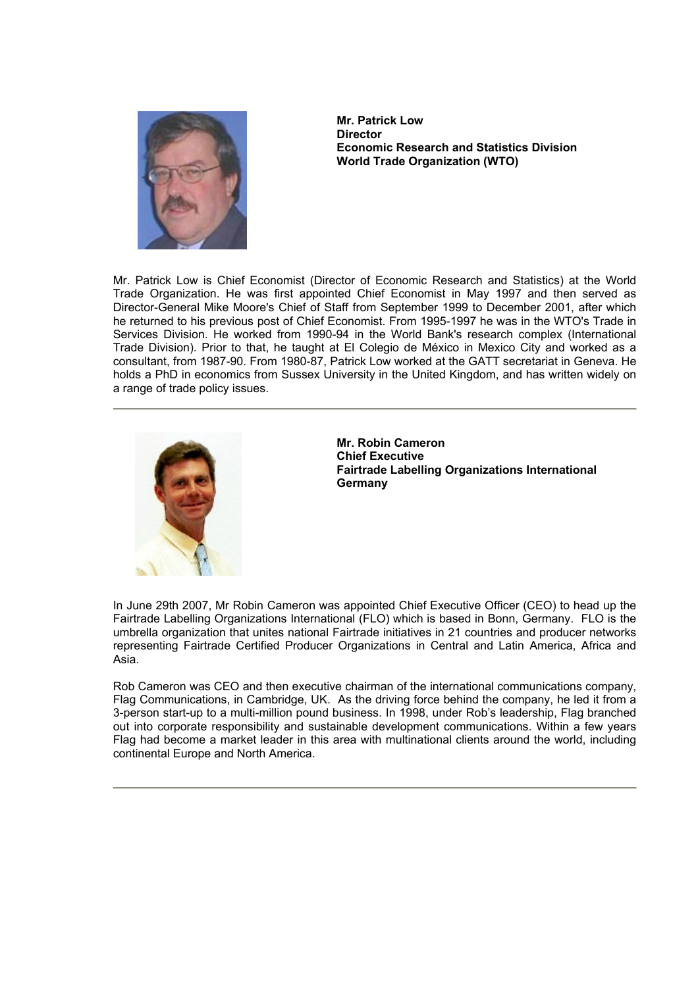

**Mr. Patrick Low Director Economic Research and Statistics Division World Trade Organization (WTO)** 

Mr. Patrick Low is Chief Economist (Director of Economic Research and Statistics) at the World Trade Organization. He was first appointed Chief Economist in May 1997 and then served as Director-General Mike Moore's Chief of Staff from September 1999 to December 2001, after which he returned to his previous post of Chief Economist. From 1995-1997 he was in the WTO's Trade in Services Division. He worked from 1990-94 in the World Bank's research complex (International Trade Division). Prior to that, he taught at El Colegio de México in Mexico City and worked as a consultant, from 1987-90. From 1980-87, Patrick Low worked at the GATT secretariat in Geneva. He holds a PhD in economics from Sussex University in the United Kingdom, and has written widely on a range of trade policy issues.



**Mr. Robin Cameron Chief Executive Fairtrade Labelling Organizations International Germany**

In June 29th 2007, Mr Robin Cameron was appointed Chief Executive Officer (CEO) to head up the Fairtrade Labelling Organizations International (FLO) which is based in Bonn, Germany. FLO is the umbrella organization that unites national Fairtrade initiatives in 21 countries and producer networks representing Fairtrade Certified Producer Organizations in Central and Latin America, Africa and Asia.

Rob Cameron was CEO and then executive chairman of the international communications company, Flag Communications, in Cambridge, UK. As the driving force behind the company, he led it from a 3-person start-up to a multi-million pound business. In 1998, under Rob's leadership, Flag branched out into corporate responsibility and sustainable development communications. Within a few years Flag had become a market leader in this area with multinational clients around the world, including continental Europe and North America.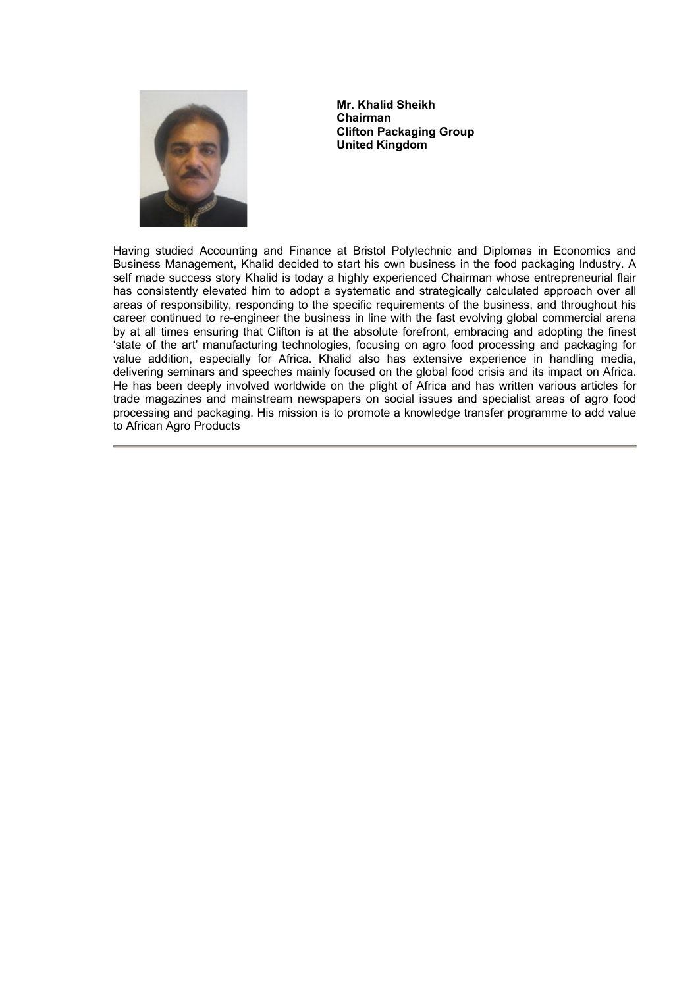

**Mr. Khalid Sheikh Chairman Clifton Packaging Group United Kingdom** 

Having studied Accounting and Finance at Bristol Polytechnic and Diplomas in Economics and Business Management, Khalid decided to start his own business in the food packaging Industry. A self made success story Khalid is today a highly experienced Chairman whose entrepreneurial flair has consistently elevated him to adopt a systematic and strategically calculated approach over all areas of responsibility, responding to the specific requirements of the business, and throughout his career continued to re-engineer the business in line with the fast evolving global commercial arena by at all times ensuring that Clifton is at the absolute forefront, embracing and adopting the finest 'state of the art' manufacturing technologies, focusing on agro food processing and packaging for value addition, especially for Africa. Khalid also has extensive experience in handling media, delivering seminars and speeches mainly focused on the global food crisis and its impact on Africa. He has been deeply involved worldwide on the plight of Africa and has written various articles for trade magazines and mainstream newspapers on social issues and specialist areas of agro food processing and packaging. His mission is to promote a knowledge transfer programme to add value to African Agro Products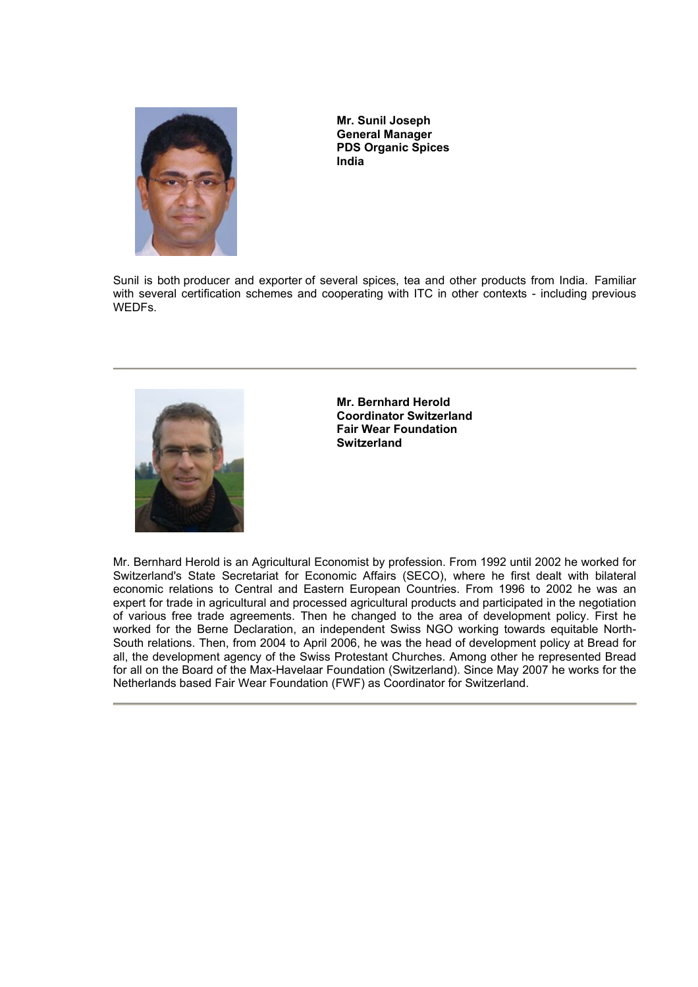

**Mr. Sunil Joseph General Manager PDS Organic Spices India** 

Sunil is both producer and exporter of several spices, tea and other products from India. Familiar with several certification schemes and cooperating with ITC in other contexts - including previous WEDFs.



**Mr. Bernhard Herold Coordinator Switzerland Fair Wear Foundation Switzerland** 

Mr. Bernhard Herold is an Agricultural Economist by profession. From 1992 until 2002 he worked for Switzerland's State Secretariat for Economic Affairs (SECO), where he first dealt with bilateral economic relations to Central and Eastern European Countries. From 1996 to 2002 he was an expert for trade in agricultural and processed agricultural products and participated in the negotiation of various free trade agreements. Then he changed to the area of development policy. First he worked for the Berne Declaration, an independent Swiss NGO working towards equitable North-South relations. Then, from 2004 to April 2006, he was the head of development policy at Bread for all, the development agency of the Swiss Protestant Churches. Among other he represented Bread for all on the Board of the Max-Havelaar Foundation (Switzerland). Since May 2007 he works for the Netherlands based Fair Wear Foundation (FWF) as Coordinator for Switzerland.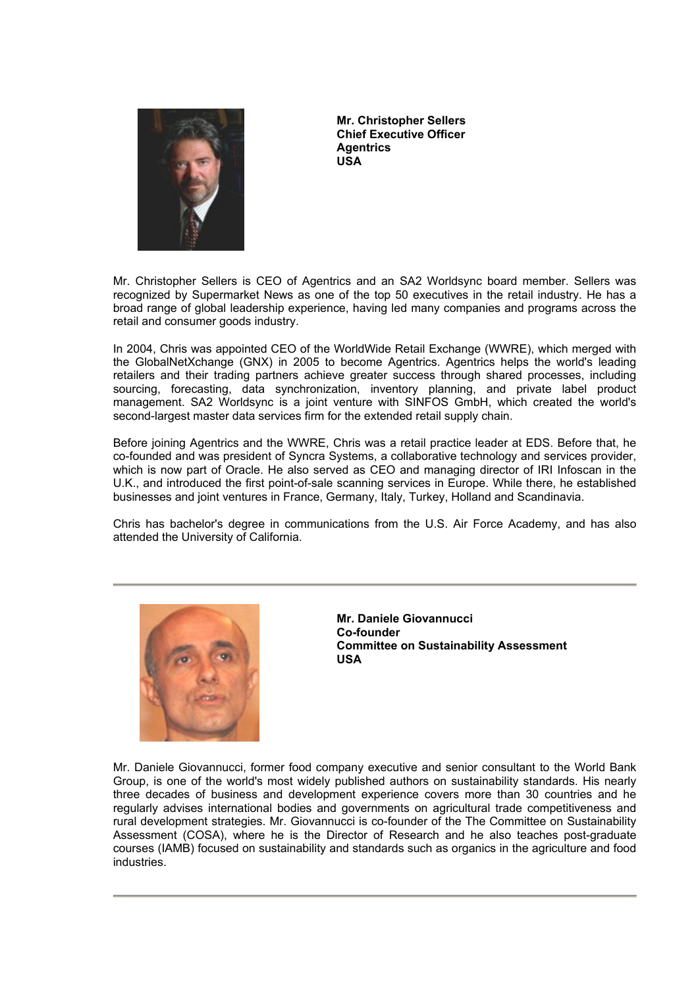

**Mr. Christopher Sellers Chief Executive Officer Agentrics USA** 

Mr. Christopher Sellers is CEO of Agentrics and an SA2 Worldsync board member. Sellers was recognized by Supermarket News as one of the top 50 executives in the retail industry. He has a broad range of global leadership experience, having led many companies and programs across the retail and consumer goods industry.

In 2004, Chris was appointed CEO of the WorldWide Retail Exchange (WWRE), which merged with the GlobalNetXchange (GNX) in 2005 to become Agentrics. Agentrics helps the world's leading retailers and their trading partners achieve greater success through shared processes, including sourcing, forecasting, data synchronization, inventory planning, and private label product management. SA2 Worldsync is a joint venture with SINFOS GmbH, which created the world's second-largest master data services firm for the extended retail supply chain.

Before joining Agentrics and the WWRE, Chris was a retail practice leader at EDS. Before that, he co-founded and was president of Syncra Systems, a collaborative technology and services provider, which is now part of Oracle. He also served as CEO and managing director of IRI Infoscan in the U.K., and introduced the first point-of-sale scanning services in Europe. While there, he established businesses and joint ventures in France, Germany, Italy, Turkey, Holland and Scandinavia.

Chris has bachelor's degree in communications from the U.S. Air Force Academy, and has also attended the University of California.



**Mr. Daniele Giovannucci Co-founder Committee on Sustainability Assessment USA** 

Mr. Daniele Giovannucci, former food company executive and senior consultant to the World Bank Group, is one of the world's most widely published authors on sustainability standards. His nearly three decades of business and development experience covers more than 30 countries and he regularly advises international bodies and governments on agricultural trade competitiveness and rural development strategies. Mr. Giovannucci is co-founder of the The Committee on Sustainability Assessment (COSA), where he is the Director of Research and he also teaches post-graduate courses (IAMB) focused on sustainability and standards such as organics in the agriculture and food industries.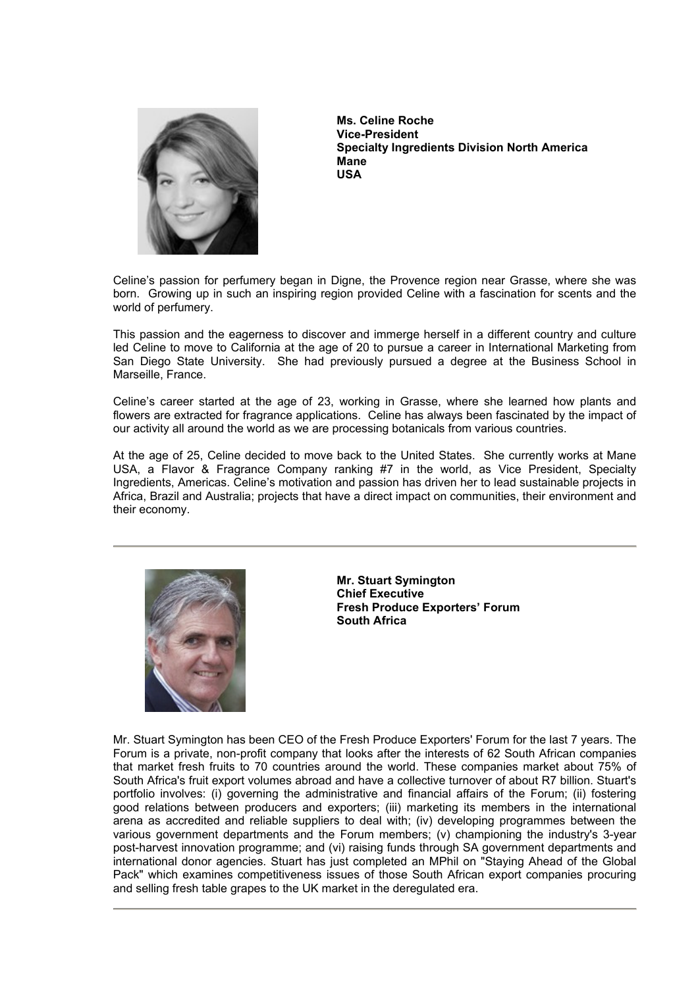

**Ms. Celine Roche Vice-President Specialty Ingredients Division North America Mane USA** 

Celine's passion for perfumery began in Digne, the Provence region near Grasse, where she was born. Growing up in such an inspiring region provided Celine with a fascination for scents and the world of perfumery.

This passion and the eagerness to discover and immerge herself in a different country and culture led Celine to move to California at the age of 20 to pursue a career in International Marketing from San Diego State University. She had previously pursued a degree at the Business School in Marseille, France.

Celine's career started at the age of 23, working in Grasse, where she learned how plants and flowers are extracted for fragrance applications. Celine has always been fascinated by the impact of our activity all around the world as we are processing botanicals from various countries.

At the age of 25, Celine decided to move back to the United States. She currently works at Mane USA, a Flavor & Fragrance Company ranking #7 in the world, as Vice President, Specialty Ingredients, Americas. Celine's motivation and passion has driven her to lead sustainable projects in Africa, Brazil and Australia; projects that have a direct impact on communities, their environment and their economy.



**Mr. Stuart Symington Chief Executive Fresh Produce Exporters' Forum South Africa** 

Mr. Stuart Symington has been CEO of the Fresh Produce Exporters' Forum for the last 7 years. The Forum is a private, non-profit company that looks after the interests of 62 South African companies that market fresh fruits to 70 countries around the world. These companies market about 75% of South Africa's fruit export volumes abroad and have a collective turnover of about R7 billion. Stuart's portfolio involves: (i) governing the administrative and financial affairs of the Forum; (ii) fostering good relations between producers and exporters; (iii) marketing its members in the international arena as accredited and reliable suppliers to deal with; (iv) developing programmes between the various government departments and the Forum members; (v) championing the industry's 3-year post-harvest innovation programme; and (vi) raising funds through SA government departments and international donor agencies. Stuart has just completed an MPhil on "Staying Ahead of the Global Pack" which examines competitiveness issues of those South African export companies procuring and selling fresh table grapes to the UK market in the deregulated era.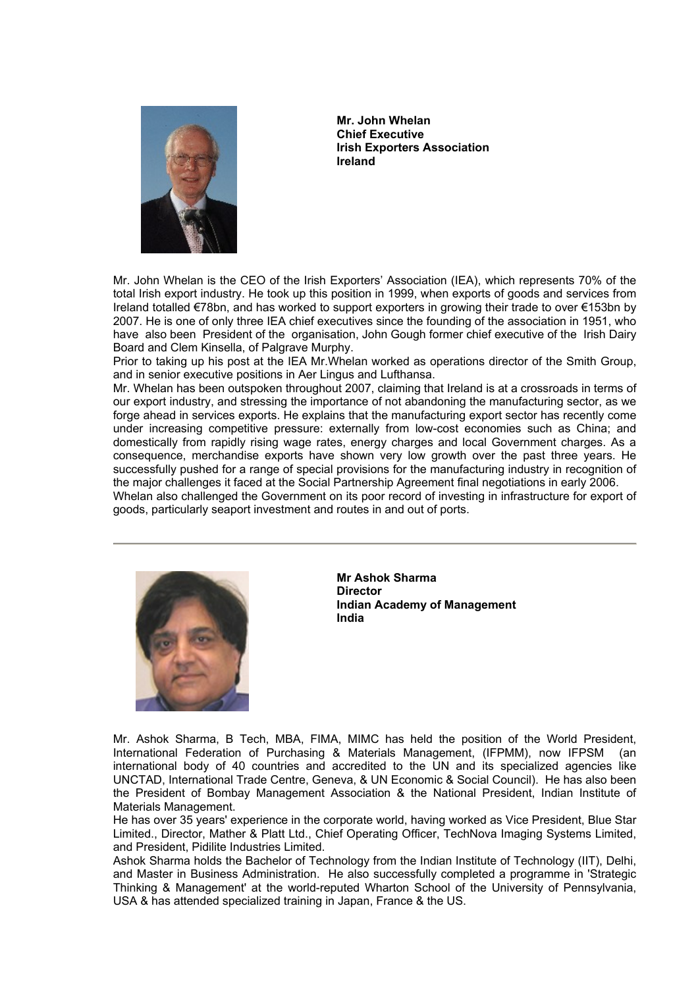

**Mr. John Whelan Chief Executive Irish Exporters Association Ireland** 

Mr. John Whelan is the CEO of the Irish Exporters' Association (IEA), which represents 70% of the total Irish export industry. He took up this position in 1999, when exports of goods and services from Ireland totalled €78bn, and has worked to support exporters in growing their trade to over €153bn by 2007. He is one of only three IEA chief executives since the founding of the association in 1951, who have also been President of the organisation, John Gough former chief executive of the Irish Dairy Board and Clem Kinsella, of Palgrave Murphy.

Prior to taking up his post at the IEA Mr.Whelan worked as operations director of the Smith Group, and in senior executive positions in Aer Lingus and Lufthansa.

Mr. Whelan has been outspoken throughout 2007, claiming that Ireland is at a crossroads in terms of our export industry, and stressing the importance of not abandoning the manufacturing sector, as we forge ahead in services exports. He explains that the manufacturing export sector has recently come under increasing competitive pressure: externally from low-cost economies such as China; and domestically from rapidly rising wage rates, energy charges and local Government charges. As a consequence, merchandise exports have shown very low growth over the past three years. He successfully pushed for a range of special provisions for the manufacturing industry in recognition of the major challenges it faced at the Social Partnership Agreement final negotiations in early 2006.

Whelan also challenged the Government on its poor record of investing in infrastructure for export of goods, particularly seaport investment and routes in and out of ports.



**Mr Ashok Sharma Director Indian Academy of Management India** 

Mr. Ashok Sharma, B Tech, MBA, FIMA, MIMC has held the position of the World President, International Federation of Purchasing & Materials Management, (IFPMM), now IFPSM (an international body of 40 countries and accredited to the UN and its specialized agencies like UNCTAD, International Trade Centre, Geneva, & UN Economic & Social Council). He has also been the President of Bombay Management Association & the National President, Indian Institute of Materials Management.

He has over 35 years' experience in the corporate world, having worked as Vice President, Blue Star Limited., Director, Mather & Platt Ltd., Chief Operating Officer, TechNova Imaging Systems Limited, and President, Pidilite Industries Limited.

Ashok Sharma holds the Bachelor of Technology from the Indian Institute of Technology (IIT), Delhi, and Master in Business Administration. He also successfully completed a programme in 'Strategic Thinking & Management' at the world-reputed Wharton School of the University of Pennsylvania, USA & has attended specialized training in Japan, France & the US.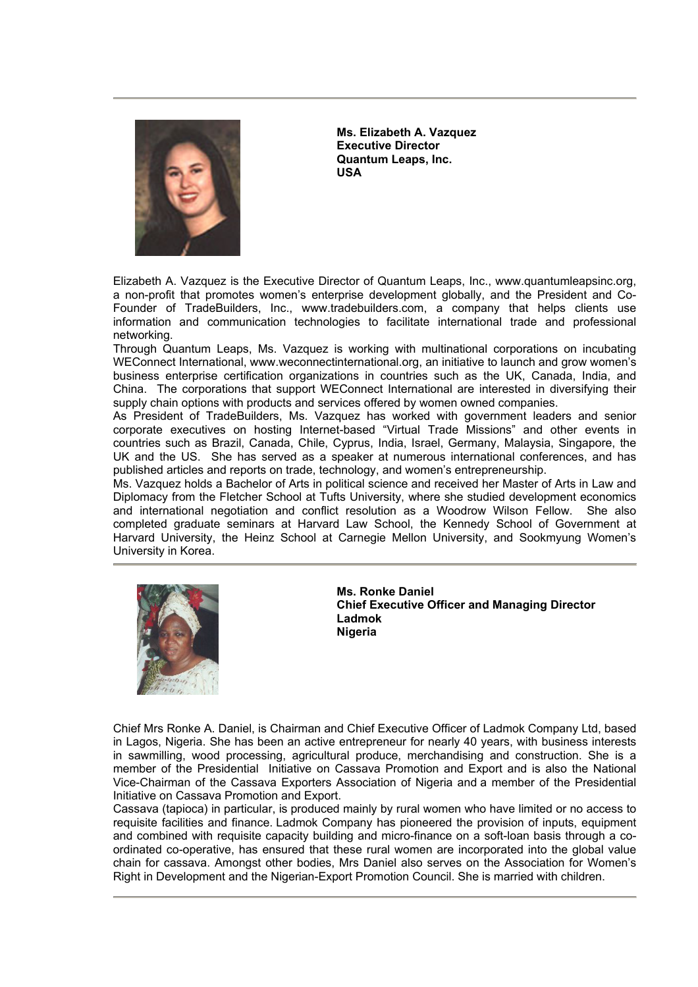

**Ms. Elizabeth A. Vazquez Executive Director Quantum Leaps, Inc. USA** 

Elizabeth A. Vazquez is the Executive Director of Quantum Leaps, Inc., www.quantumleapsinc.org, a non-profit that promotes women's enterprise development globally, and the President and Co-Founder of TradeBuilders, Inc., www.tradebuilders.com, a company that helps clients use information and communication technologies to facilitate international trade and professional networking.

Through Quantum Leaps, Ms. Vazquez is working with multinational corporations on incubating WEConnect International, www.weconnectinternational.org, an initiative to launch and grow women's business enterprise certification organizations in countries such as the UK, Canada, India, and China. The corporations that support WEConnect International are interested in diversifying their supply chain options with products and services offered by women owned companies.

As President of TradeBuilders, Ms. Vazquez has worked with government leaders and senior corporate executives on hosting Internet-based "Virtual Trade Missions" and other events in countries such as Brazil, Canada, Chile, Cyprus, India, Israel, Germany, Malaysia, Singapore, the UK and the US. She has served as a speaker at numerous international conferences, and has published articles and reports on trade, technology, and women's entrepreneurship.

Ms. Vazquez holds a Bachelor of Arts in political science and received her Master of Arts in Law and Diplomacy from the Fletcher School at Tufts University, where she studied development economics and international negotiation and conflict resolution as a Woodrow Wilson Fellow. She also completed graduate seminars at Harvard Law School, the Kennedy School of Government at Harvard University, the Heinz School at Carnegie Mellon University, and Sookmyung Women's University in Korea.



**Ms. Ronke Daniel Chief Executive Officer and Managing Director Ladmok Nigeria** 

Chief Mrs Ronke A. Daniel, is Chairman and Chief Executive Officer of Ladmok Company Ltd, based in Lagos, Nigeria. She has been an active entrepreneur for nearly 40 years, with business interests in sawmilling, wood processing, agricultural produce, merchandising and construction. She is a member of the Presidential Initiative on Cassava Promotion and Export and is also the National Vice-Chairman of the Cassava Exporters Association of Nigeria and a member of the Presidential Initiative on Cassava Promotion and Export.

Cassava (tapioca) in particular, is produced mainly by rural women who have limited or no access to requisite facilities and finance. Ladmok Company has pioneered the provision of inputs, equipment and combined with requisite capacity building and micro-finance on a soft-loan basis through a coordinated co-operative, has ensured that these rural women are incorporated into the global value chain for cassava. Amongst other bodies, Mrs Daniel also serves on the Association for Women's Right in Development and the Nigerian-Export Promotion Council. She is married with children.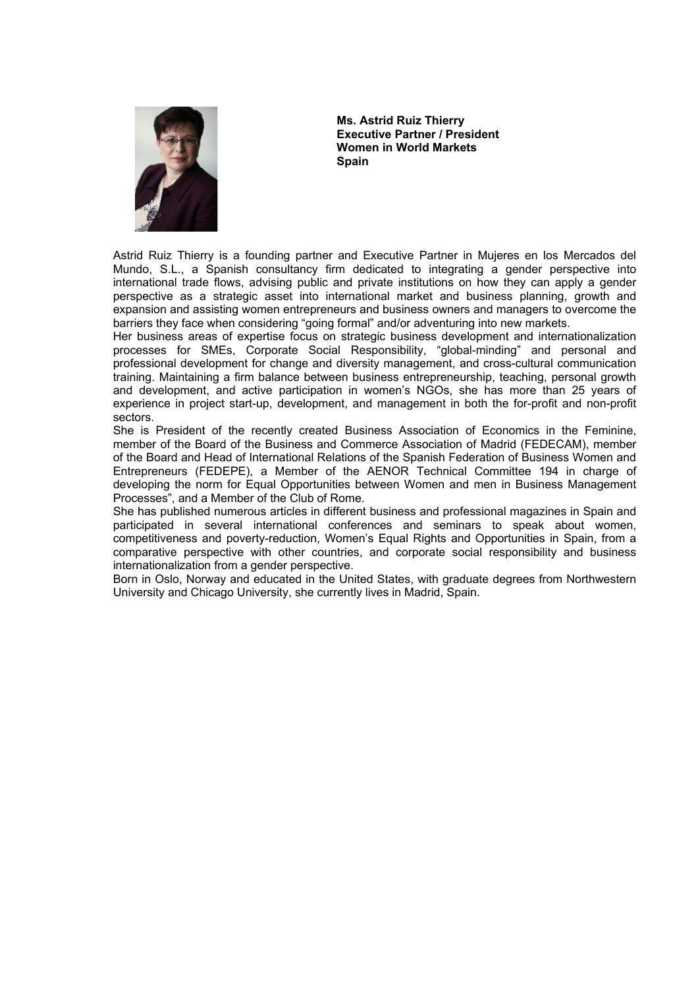

**Ms. Astrid Ruiz Thierry Executive Partner / President Women in World Markets Spain** 

Astrid Ruiz Thierry is a founding partner and Executive Partner in Mujeres en los Mercados del Mundo, S.L., a Spanish consultancy firm dedicated to integrating a gender perspective into international trade flows, advising public and private institutions on how they can apply a gender perspective as a strategic asset into international market and business planning, growth and expansion and assisting women entrepreneurs and business owners and managers to overcome the barriers they face when considering "going formal" and/or adventuring into new markets.

Her business areas of expertise focus on strategic business development and internationalization processes for SMEs, Corporate Social Responsibility, "global-minding" and personal and professional development for change and diversity management, and cross-cultural communication training. Maintaining a firm balance between business entrepreneurship, teaching, personal growth and development, and active participation in women's NGOs, she has more than 25 years of experience in project start-up, development, and management in both the for-profit and non-profit sectors.

She is President of the recently created Business Association of Economics in the Feminine, member of the Board of the Business and Commerce Association of Madrid (FEDECAM), member of the Board and Head of International Relations of the Spanish Federation of Business Women and Entrepreneurs (FEDEPE), a Member of the AENOR Technical Committee 194 in charge of developing the norm for Equal Opportunities between Women and men in Business Management Processes", and a Member of the Club of Rome.

She has published numerous articles in different business and professional magazines in Spain and participated in several international conferences and seminars to speak about women, competitiveness and poverty-reduction, Women's Equal Rights and Opportunities in Spain, from a comparative perspective with other countries, and corporate social responsibility and business internationalization from a gender perspective.

Born in Oslo, Norway and educated in the United States, with graduate degrees from Northwestern University and Chicago University, she currently lives in Madrid, Spain.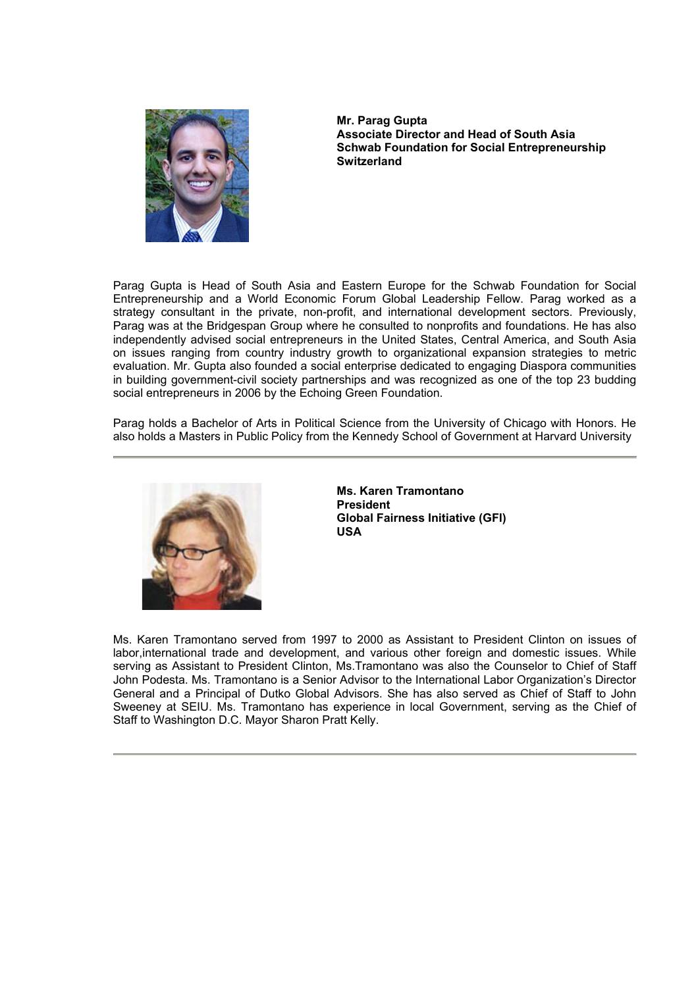

**Mr. Parag Gupta Associate Director and Head of South Asia Schwab Foundation for Social Entrepreneurship Switzerland** 

Parag Gupta is Head of South Asia and Eastern Europe for the Schwab Foundation for Social Entrepreneurship and a World Economic Forum Global Leadership Fellow. Parag worked as a strategy consultant in the private, non-profit, and international development sectors. Previously, Parag was at the Bridgespan Group where he consulted to nonprofits and foundations. He has also independently advised social entrepreneurs in the United States, Central America, and South Asia on issues ranging from country industry growth to organizational expansion strategies to metric evaluation. Mr. Gupta also founded a social enterprise dedicated to engaging Diaspora communities in building government-civil society partnerships and was recognized as one of the top 23 budding social entrepreneurs in 2006 by the Echoing Green Foundation.

Parag holds a Bachelor of Arts in Political Science from the University of Chicago with Honors. He also holds a Masters in Public Policy from the Kennedy School of Government at Harvard University



**Ms. Karen Tramontano President Global Fairness Initiative (GFI) USA** 

Ms. Karen Tramontano served from 1997 to 2000 as Assistant to President Clinton on issues of labor,international trade and development, and various other foreign and domestic issues. While serving as Assistant to President Clinton, Ms.Tramontano was also the Counselor to Chief of Staff John Podesta. Ms. Tramontano is a Senior Advisor to the International Labor Organization's Director General and a Principal of Dutko Global Advisors. She has also served as Chief of Staff to John Sweeney at SEIU. Ms. Tramontano has experience in local Government, serving as the Chief of Staff to Washington D.C. Mayor Sharon Pratt Kelly.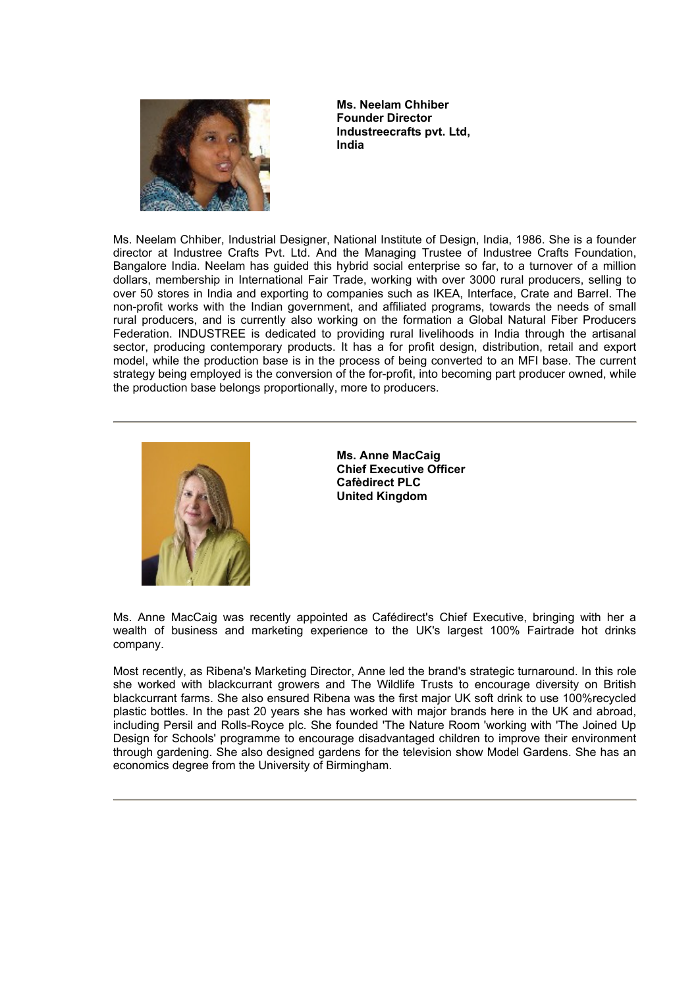

**Ms. Neelam Chhiber Founder Director Industreecrafts pvt. Ltd, India** 

Ms. Neelam Chhiber, Industrial Designer, National Institute of Design, India, 1986. She is a founder director at Industree Crafts Pvt. Ltd. And the Managing Trustee of Industree Crafts Foundation, Bangalore India. Neelam has guided this hybrid social enterprise so far, to a turnover of a million dollars, membership in International Fair Trade, working with over 3000 rural producers, selling to over 50 stores in India and exporting to companies such as IKEA, Interface, Crate and Barrel. The non-profit works with the Indian government, and affiliated programs, towards the needs of small rural producers, and is currently also working on the formation a Global Natural Fiber Producers Federation. INDUSTREE is dedicated to providing rural livelihoods in India through the artisanal sector, producing contemporary products. It has a for profit design, distribution, retail and export model, while the production base is in the process of being converted to an MFI base. The current strategy being employed is the conversion of the for-profit, into becoming part producer owned, while the production base belongs proportionally, more to producers.



**Ms. Anne MacCaig Chief Executive Officer Cafèdirect PLC United Kingdom** 

Ms. Anne MacCaig was recently appointed as Cafédirect's Chief Executive, bringing with her a wealth of business and marketing experience to the UK's largest 100% Fairtrade hot drinks company.

Most recently, as Ribena's Marketing Director, Anne led the brand's strategic turnaround. In this role she worked with blackcurrant growers and The Wildlife Trusts to encourage diversity on British blackcurrant farms. She also ensured Ribena was the first major UK soft drink to use 100%recycled plastic bottles. In the past 20 years she has worked with major brands here in the UK and abroad, including Persil and Rolls-Royce plc. She founded 'The Nature Room 'working with 'The Joined Up Design for Schools' programme to encourage disadvantaged children to improve their environment through gardening. She also designed gardens for the television show Model Gardens. She has an economics degree from the University of Birmingham.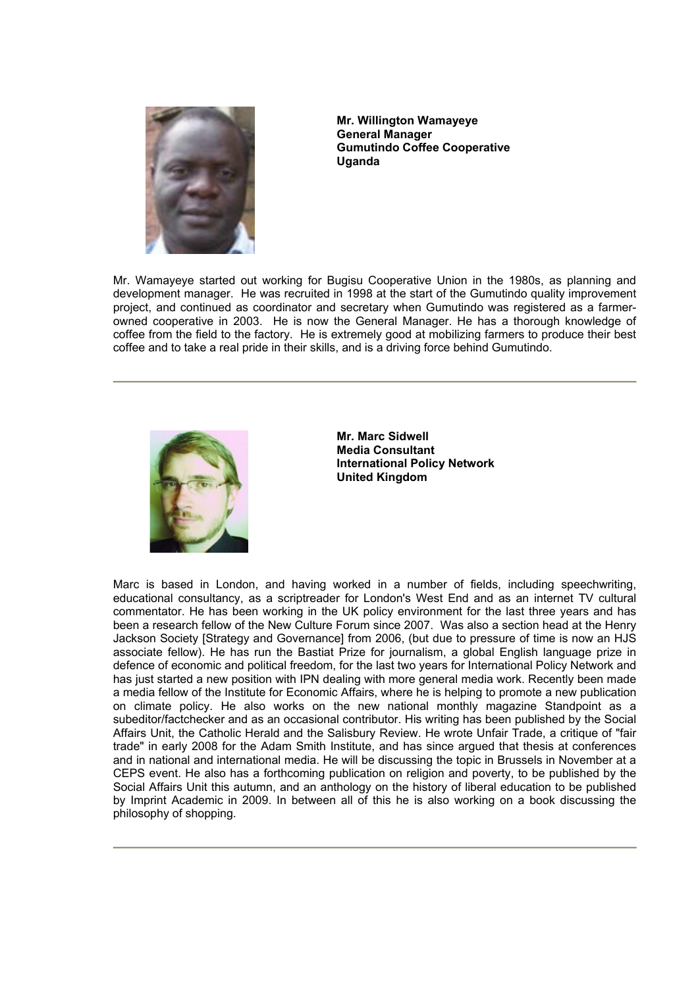

**Mr. Willington Wamayeye General Manager Gumutindo Coffee Cooperative Uganda** 

Mr. Wamayeye started out working for Bugisu Cooperative Union in the 1980s, as planning and development manager. He was recruited in 1998 at the start of the Gumutindo quality improvement project, and continued as coordinator and secretary when Gumutindo was registered as a farmerowned cooperative in 2003. He is now the General Manager. He has a thorough knowledge of coffee from the field to the factory. He is extremely good at mobilizing farmers to produce their best coffee and to take a real pride in their skills, and is a driving force behind Gumutindo.



**Mr. Marc Sidwell Media Consultant International Policy Network United Kingdom** 

Marc is based in London, and having worked in a number of fields, including speechwriting, educational consultancy, as a scriptreader for London's West End and as an internet TV cultural commentator. He has been working in the UK policy environment for the last three years and has been a research fellow of the New Culture Forum since 2007. Was also a section head at the Henry Jackson Society [Strategy and Governance] from 2006, (but due to pressure of time is now an HJS associate fellow). He has run the Bastiat Prize for journalism, a global English language prize in defence of economic and political freedom, for the last two years for International Policy Network and has just started a new position with IPN dealing with more general media work. Recently been made a media fellow of the Institute for Economic Affairs, where he is helping to promote a new publication on climate policy. He also works on the new national monthly magazine Standpoint as a subeditor/factchecker and as an occasional contributor. His writing has been published by the Social Affairs Unit, the Catholic Herald and the Salisbury Review. He wrote Unfair Trade, a critique of "fair trade" in early 2008 for the Adam Smith Institute, and has since argued that thesis at conferences and in national and international media. He will be discussing the topic in Brussels in November at a CEPS event. He also has a forthcoming publication on religion and poverty, to be published by the Social Affairs Unit this autumn, and an anthology on the history of liberal education to be published by Imprint Academic in 2009. In between all of this he is also working on a book discussing the philosophy of shopping.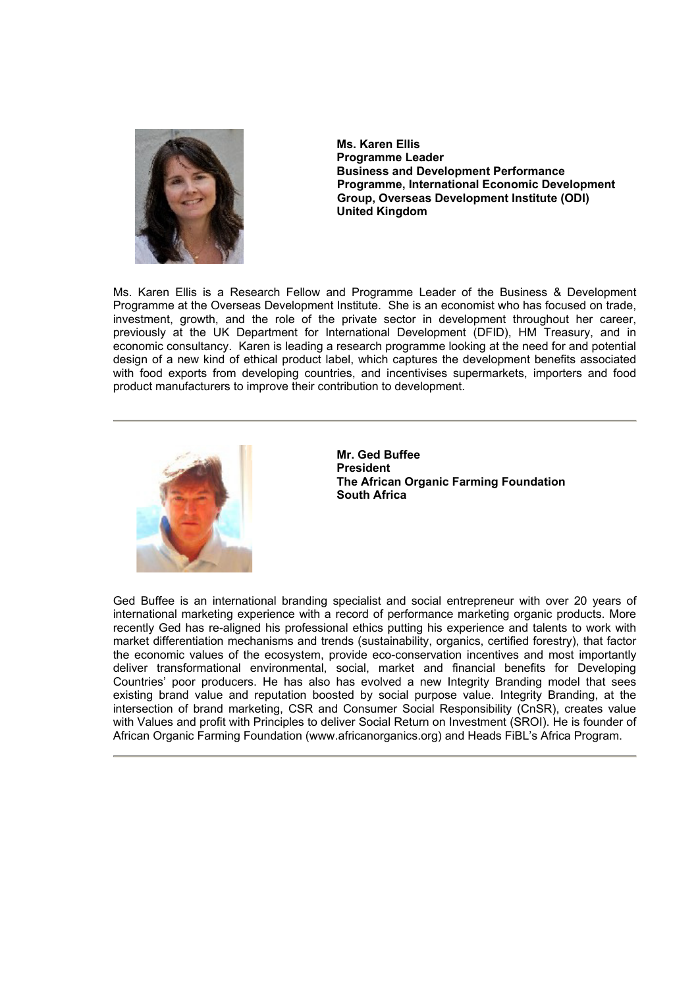

**Ms. Karen Ellis Programme Leader Business and Development Performance Programme, International Economic Development Group, Overseas Development Institute (ODI) United Kingdom** 

Ms. Karen Ellis is a Research Fellow and Programme Leader of the Business & Development Programme at the Overseas Development Institute. She is an economist who has focused on trade, investment, growth, and the role of the private sector in development throughout her career, previously at the UK Department for International Development (DFID), HM Treasury, and in economic consultancy. Karen is leading a research programme looking at the need for and potential design of a new kind of ethical product label, which captures the development benefits associated with food exports from developing countries, and incentivises supermarkets, importers and food product manufacturers to improve their contribution to development.



**Mr. Ged Buffee President The African Organic Farming Foundation South Africa** 

Ged Buffee is an international branding specialist and social entrepreneur with over 20 years of international marketing experience with a record of performance marketing organic products. More recently Ged has re-aligned his professional ethics putting his experience and talents to work with market differentiation mechanisms and trends (sustainability, organics, certified forestry), that factor the economic values of the ecosystem, provide eco-conservation incentives and most importantly deliver transformational environmental, social, market and financial benefits for Developing Countries' poor producers. He has also has evolved a new Integrity Branding model that sees existing brand value and reputation boosted by social purpose value. Integrity Branding, at the intersection of brand marketing, CSR and Consumer Social Responsibility (CnSR), creates value with Values and profit with Principles to deliver Social Return on Investment (SROI). He is founder of African Organic Farming Foundation (www.africanorganics.org) and Heads FiBL's Africa Program.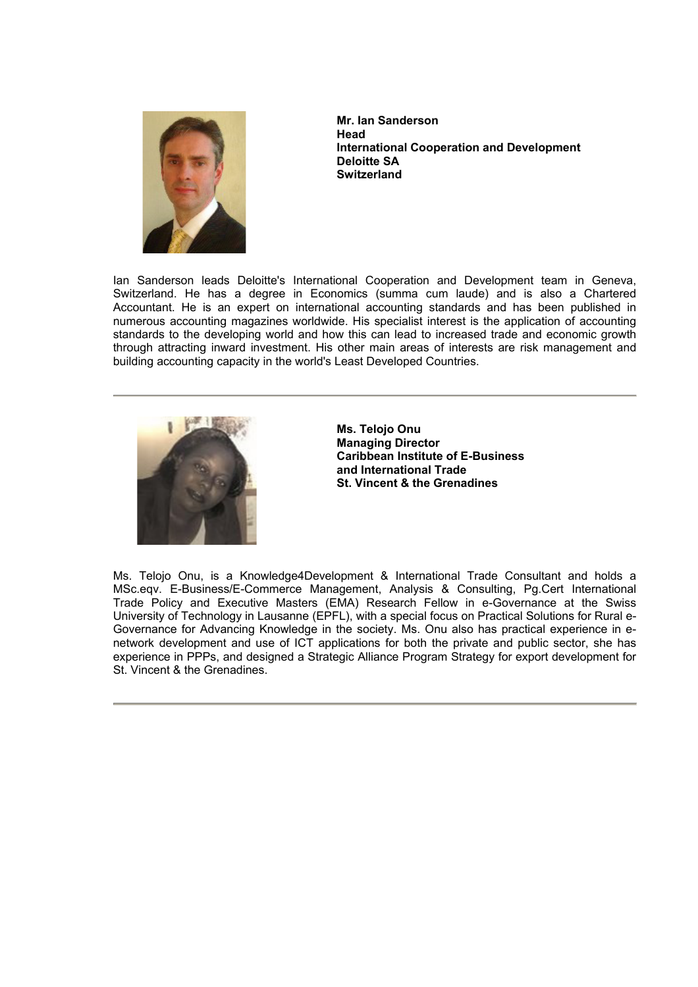

**Mr. Ian Sanderson Head International Cooperation and Development Deloitte SA Switzerland**

Ian Sanderson leads Deloitte's International Cooperation and Development team in Geneva, Switzerland. He has a degree in Economics (summa cum laude) and is also a Chartered Accountant. He is an expert on international accounting standards and has been published in numerous accounting magazines worldwide. His specialist interest is the application of accounting standards to the developing world and how this can lead to increased trade and economic growth through attracting inward investment. His other main areas of interests are risk management and building accounting capacity in the world's Least Developed Countries.



**Ms. Telojo Onu Managing Director Caribbean Institute of E-Business and International Trade St. Vincent & the Grenadines** 

Ms. Telojo Onu, is a Knowledge4Development & International Trade Consultant and holds a MSc.eqv. E-Business/E-Commerce Management, Analysis & Consulting, Pg.Cert International Trade Policy and Executive Masters (EMA) Research Fellow in e-Governance at the Swiss University of Technology in Lausanne (EPFL), with a special focus on Practical Solutions for Rural e-Governance for Advancing Knowledge in the society. Ms. Onu also has practical experience in enetwork development and use of ICT applications for both the private and public sector, she has experience in PPPs, and designed a Strategic Alliance Program Strategy for export development for St. Vincent & the Grenadines.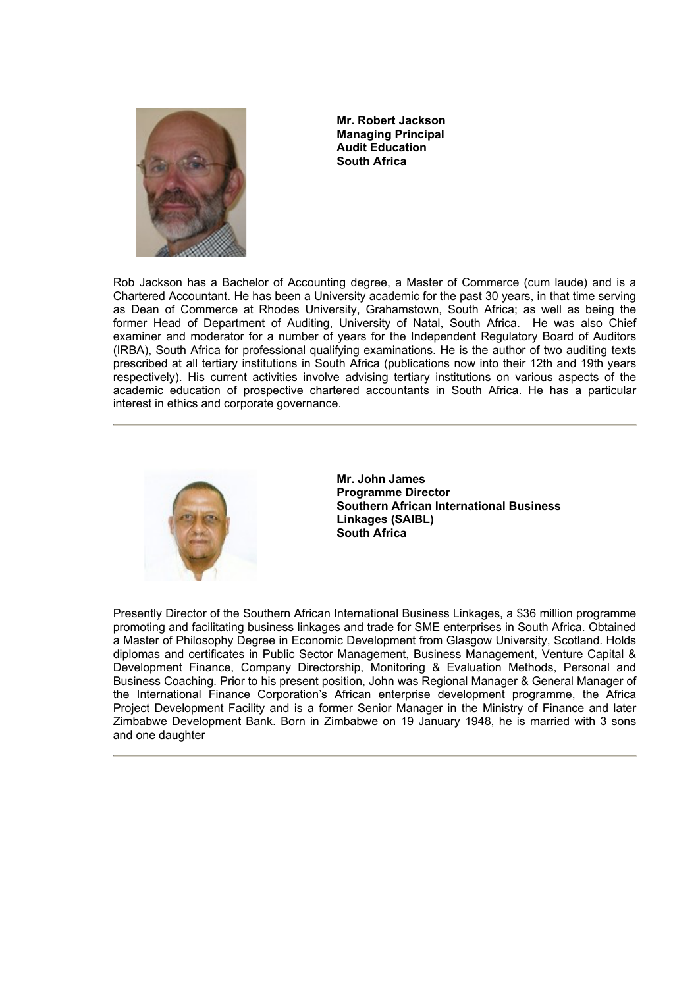

**Mr. Robert Jackson Managing Principal Audit Education South Africa** 

Rob Jackson has a Bachelor of Accounting degree, a Master of Commerce (cum laude) and is a Chartered Accountant. He has been a University academic for the past 30 years, in that time serving as Dean of Commerce at Rhodes University, Grahamstown, South Africa; as well as being the former Head of Department of Auditing, University of Natal, South Africa. He was also Chief examiner and moderator for a number of years for the Independent Regulatory Board of Auditors (IRBA), South Africa for professional qualifying examinations. He is the author of two auditing texts prescribed at all tertiary institutions in South Africa (publications now into their 12th and 19th years respectively). His current activities involve advising tertiary institutions on various aspects of the academic education of prospective chartered accountants in South Africa. He has a particular interest in ethics and corporate governance.



**Mr. John James Programme Director Southern African International Business Linkages (SAIBL) South Africa** 

Presently Director of the Southern African International Business Linkages, a \$36 million programme promoting and facilitating business linkages and trade for SME enterprises in South Africa. Obtained a Master of Philosophy Degree in Economic Development from Glasgow University, Scotland. Holds diplomas and certificates in Public Sector Management, Business Management, Venture Capital & Development Finance, Company Directorship, Monitoring & Evaluation Methods, Personal and Business Coaching. Prior to his present position, John was Regional Manager & General Manager of the International Finance Corporation's African enterprise development programme, the Africa Project Development Facility and is a former Senior Manager in the Ministry of Finance and later Zimbabwe Development Bank. Born in Zimbabwe on 19 January 1948, he is married with 3 sons and one daughter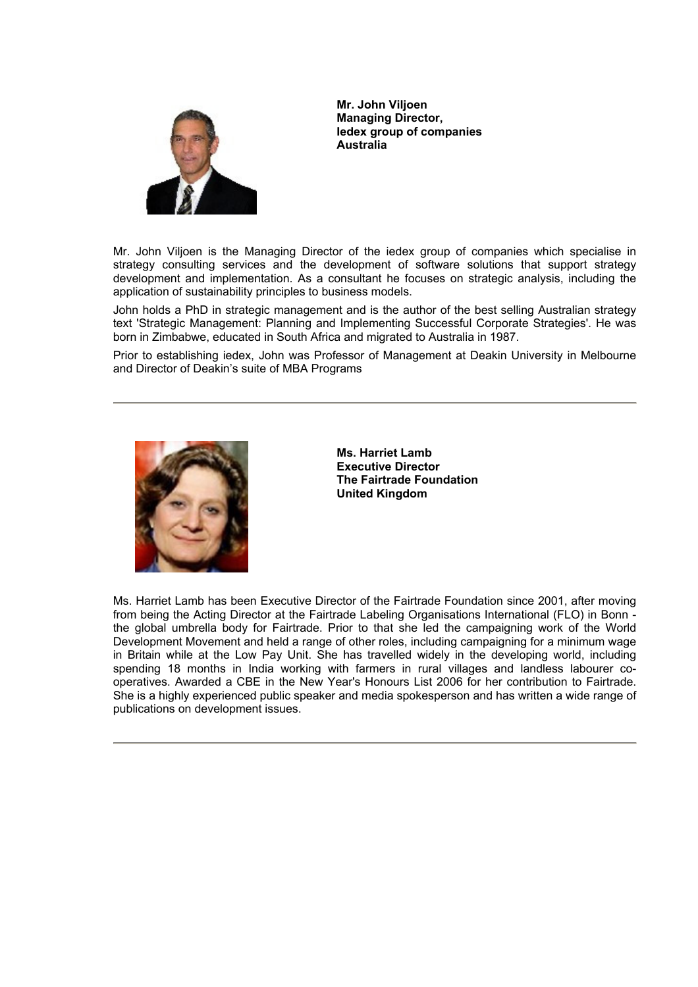

**Mr. John Viljoen Managing Director, Iedex group of companies Australia** 

Mr. John Viljoen is the Managing Director of the iedex group of companies which specialise in strategy consulting services and the development of software solutions that support strategy development and implementation. As a consultant he focuses on strategic analysis, including the application of sustainability principles to business models.

John holds a PhD in strategic management and is the author of the best selling Australian strategy text 'Strategic Management: Planning and Implementing Successful Corporate Strategies'. He was born in Zimbabwe, educated in South Africa and migrated to Australia in 1987.

Prior to establishing iedex, John was Professor of Management at Deakin University in Melbourne and Director of Deakin's suite of MBA Programs



**Ms. Harriet Lamb Executive Director The Fairtrade Foundation United Kingdom** 

Ms. Harriet Lamb has been Executive Director of the Fairtrade Foundation since 2001, after moving from being the Acting Director at the Fairtrade Labeling Organisations International (FLO) in Bonn the global umbrella body for Fairtrade. Prior to that she led the campaigning work of the World Development Movement and held a range of other roles, including campaigning for a minimum wage in Britain while at the Low Pay Unit. She has travelled widely in the developing world, including spending 18 months in India working with farmers in rural villages and landless labourer cooperatives. Awarded a CBE in the New Year's Honours List 2006 for her contribution to Fairtrade. She is a highly experienced public speaker and media spokesperson and has written a wide range of publications on development issues.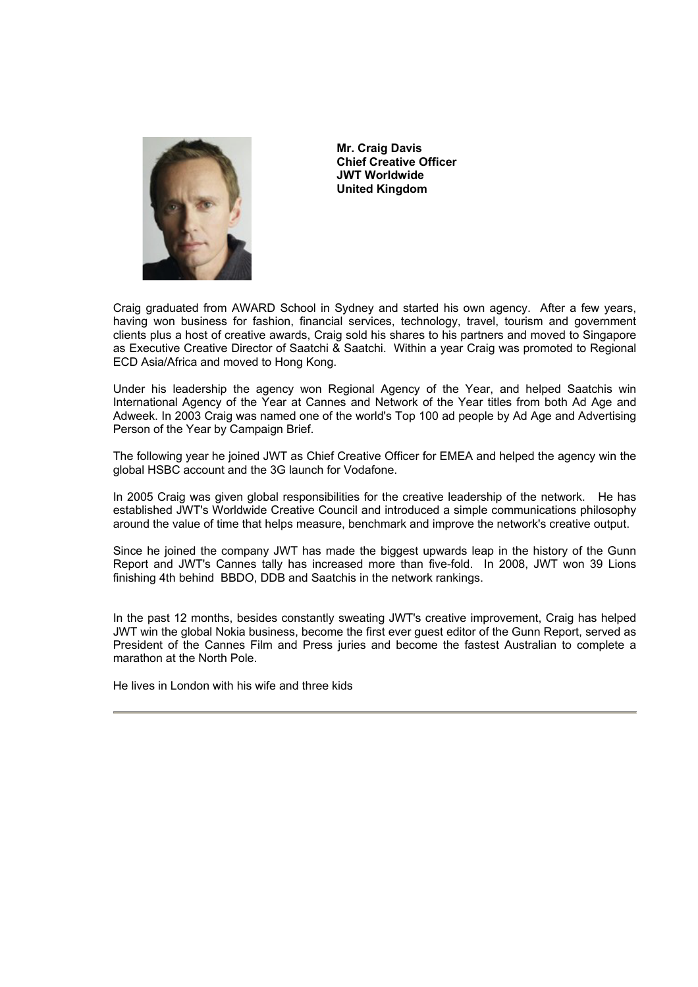

**Mr. Craig Davis Chief Creative Officer JWT Worldwide United Kingdom** 

Craig graduated from AWARD School in Sydney and started his own agency. After a few years, having won business for fashion, financial services, technology, travel, tourism and government clients plus a host of creative awards, Craig sold his shares to his partners and moved to Singapore as Executive Creative Director of Saatchi & Saatchi. Within a year Craig was promoted to Regional ECD Asia/Africa and moved to Hong Kong.

Under his leadership the agency won Regional Agency of the Year, and helped Saatchis win International Agency of the Year at Cannes and Network of the Year titles from both Ad Age and Adweek. In 2003 Craig was named one of the world's Top 100 ad people by Ad Age and Advertising Person of the Year by Campaign Brief.

The following year he joined JWT as Chief Creative Officer for EMEA and helped the agency win the global HSBC account and the 3G launch for Vodafone.

In 2005 Craig was given global responsibilities for the creative leadership of the network. He has established JWT's Worldwide Creative Council and introduced a simple communications philosophy around the value of time that helps measure, benchmark and improve the network's creative output.

Since he joined the company JWT has made the biggest upwards leap in the history of the Gunn Report and JWT's Cannes tally has increased more than five-fold. In 2008, JWT won 39 Lions finishing 4th behind BBDO, DDB and Saatchis in the network rankings.

In the past 12 months, besides constantly sweating JWT's creative improvement, Craig has helped JWT win the global Nokia business, become the first ever guest editor of the Gunn Report, served as President of the Cannes Film and Press juries and become the fastest Australian to complete a marathon at the North Pole.

He lives in London with his wife and three kids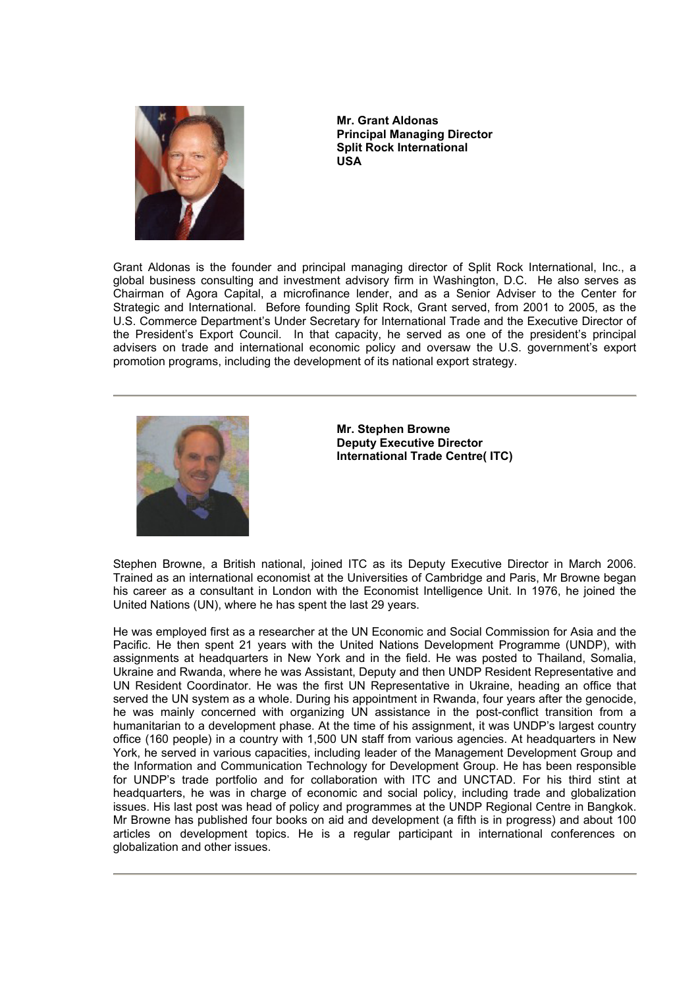

**Mr. Grant Aldonas Principal Managing Director Split Rock International USA** 

Grant Aldonas is the founder and principal managing director of Split Rock International, Inc., a global business consulting and investment advisory firm in Washington, D.C. He also serves as Chairman of Agora Capital, a microfinance lender, and as a Senior Adviser to the Center for Strategic and International. Before founding Split Rock, Grant served, from 2001 to 2005, as the U.S. Commerce Department's Under Secretary for International Trade and the Executive Director of the President's Export Council. In that capacity, he served as one of the president's principal advisers on trade and international economic policy and oversaw the U.S. government's export promotion programs, including the development of its national export strategy.



**Mr. Stephen Browne Deputy Executive Director International Trade Centre( ITC)** 

Stephen Browne, a British national, joined ITC as its Deputy Executive Director in March 2006. Trained as an international economist at the Universities of Cambridge and Paris, Mr Browne began his career as a consultant in London with the Economist Intelligence Unit. In 1976, he joined the United Nations (UN), where he has spent the last 29 years.

He was employed first as a researcher at the UN Economic and Social Commission for Asia and the Pacific. He then spent 21 years with the United Nations Development Programme (UNDP), with assignments at headquarters in New York and in the field. He was posted to Thailand, Somalia, Ukraine and Rwanda, where he was Assistant, Deputy and then UNDP Resident Representative and UN Resident Coordinator. He was the first UN Representative in Ukraine, heading an office that served the UN system as a whole. During his appointment in Rwanda, four years after the genocide, he was mainly concerned with organizing UN assistance in the post-conflict transition from a humanitarian to a development phase. At the time of his assignment, it was UNDP's largest country office (160 people) in a country with 1,500 UN staff from various agencies. At headquarters in New York, he served in various capacities, including leader of the Management Development Group and the Information and Communication Technology for Development Group. He has been responsible for UNDP's trade portfolio and for collaboration with ITC and UNCTAD. For his third stint at headquarters, he was in charge of economic and social policy, including trade and globalization issues. His last post was head of policy and programmes at the UNDP Regional Centre in Bangkok. Mr Browne has published four books on aid and development (a fifth is in progress) and about 100 articles on development topics. He is a regular participant in international conferences on globalization and other issues.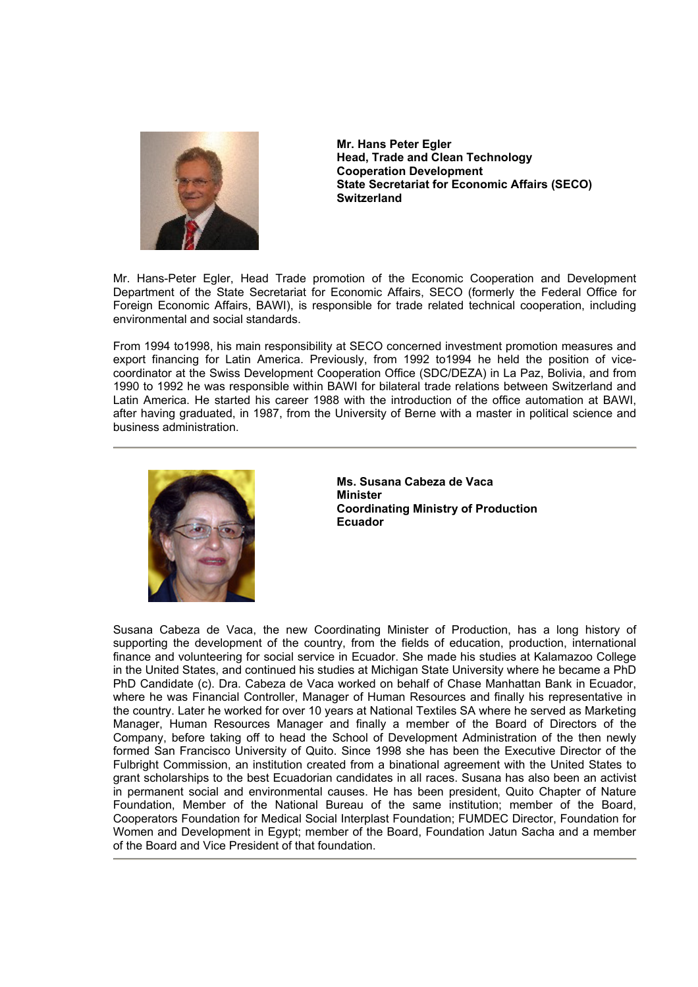

**Mr. Hans Peter Egler Head, Trade and Clean Technology Cooperation Development State Secretariat for Economic Affairs (SECO) Switzerland** 

Mr. Hans-Peter Egler, Head Trade promotion of the Economic Cooperation and Development Department of the State Secretariat for Economic Affairs, SECO (formerly the Federal Office for Foreign Economic Affairs, BAWI), is responsible for trade related technical cooperation, including environmental and social standards.

From 1994 to1998, his main responsibility at SECO concerned investment promotion measures and export financing for Latin America. Previously, from 1992 to1994 he held the position of vicecoordinator at the Swiss Development Cooperation Office (SDC/DEZA) in La Paz, Bolivia, and from 1990 to 1992 he was responsible within BAWI for bilateral trade relations between Switzerland and Latin America. He started his career 1988 with the introduction of the office automation at BAWI, after having graduated, in 1987, from the University of Berne with a master in political science and business administration.



**Ms. Susana Cabeza de Vaca Minister Coordinating Ministry of Production Ecuador**

Susana Cabeza de Vaca, the new Coordinating Minister of Production, has a long history of supporting the development of the country, from the fields of education, production, international finance and volunteering for social service in Ecuador. She made his studies at Kalamazoo College in the United States, and continued his studies at Michigan State University where he became a PhD PhD Candidate (c). Dra. Cabeza de Vaca worked on behalf of Chase Manhattan Bank in Ecuador, where he was Financial Controller, Manager of Human Resources and finally his representative in the country. Later he worked for over 10 years at National Textiles SA where he served as Marketing Manager, Human Resources Manager and finally a member of the Board of Directors of the Company, before taking off to head the School of Development Administration of the then newly formed San Francisco University of Quito. Since 1998 she has been the Executive Director of the Fulbright Commission, an institution created from a binational agreement with the United States to grant scholarships to the best Ecuadorian candidates in all races. Susana has also been an activist in permanent social and environmental causes. He has been president, Quito Chapter of Nature Foundation, Member of the National Bureau of the same institution; member of the Board, Cooperators Foundation for Medical Social Interplast Foundation; FUMDEC Director, Foundation for Women and Development in Egypt; member of the Board, Foundation Jatun Sacha and a member of the Board and Vice President of that foundation.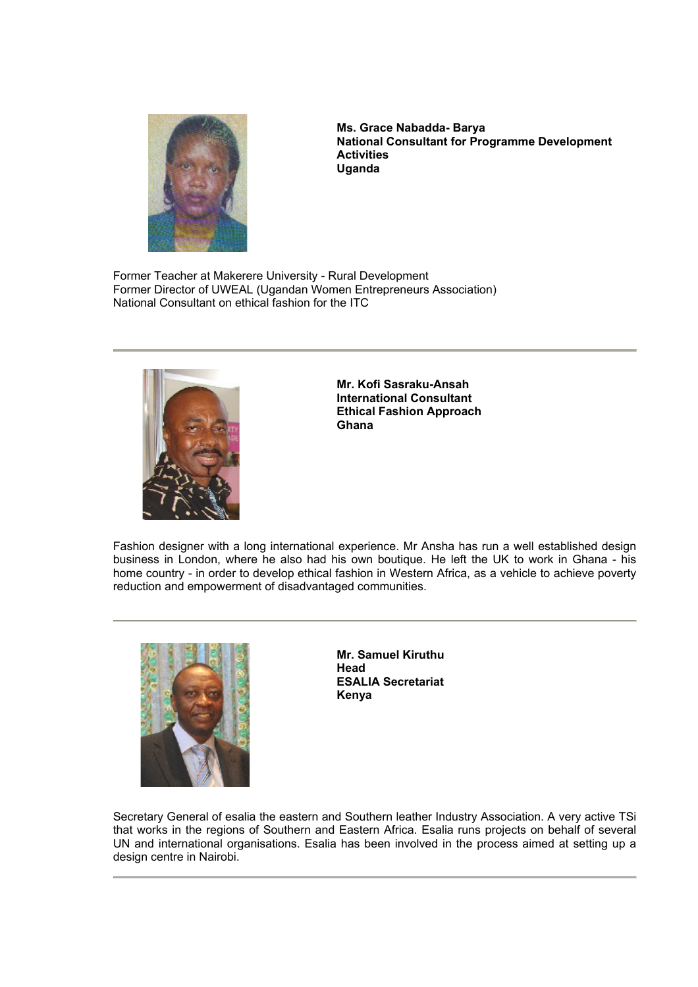

**Ms. Grace Nabadda- Barya National Consultant for Programme Development Activities Uganda** 

Former Teacher at Makerere University - Rural Development Former Director of UWEAL (Ugandan Women Entrepreneurs Association) National Consultant on ethical fashion for the ITC



**Mr. Kofi Sasraku-Ansah International Consultant Ethical Fashion Approach Ghana**

Fashion designer with a long international experience. Mr Ansha has run a well established design business in London, where he also had his own boutique. He left the UK to work in Ghana - his home country - in order to develop ethical fashion in Western Africa, as a vehicle to achieve poverty reduction and empowerment of disadvantaged communities.



**Mr. Samuel Kiruthu Head ESALIA Secretariat Kenya** 

Secretary General of esalia the eastern and Southern leather Industry Association. A very active TSi that works in the regions of Southern and Eastern Africa. Esalia runs projects on behalf of several UN and international organisations. Esalia has been involved in the process aimed at setting up a design centre in Nairobi.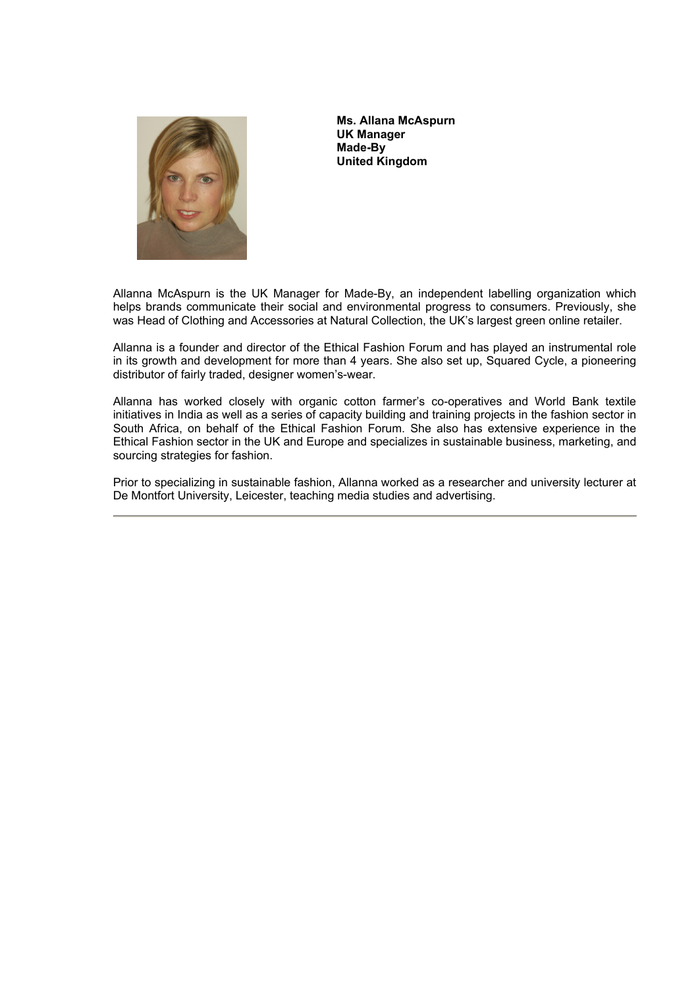

**Ms. Allana McAspurn UK Manager Made-By United Kingdom** 

Allanna McAspurn is the UK Manager for Made-By, an independent labelling organization which helps brands communicate their social and environmental progress to consumers. Previously, she was Head of Clothing and Accessories at Natural Collection, the UK's largest green online retailer.

Allanna is a founder and director of the Ethical Fashion Forum and has played an instrumental role in its growth and development for more than 4 years. She also set up, Squared Cycle, a pioneering distributor of fairly traded, designer women's-wear.

Allanna has worked closely with organic cotton farmer's co-operatives and World Bank textile initiatives in India as well as a series of capacity building and training projects in the fashion sector in South Africa, on behalf of the Ethical Fashion Forum. She also has extensive experience in the Ethical Fashion sector in the UK and Europe and specializes in sustainable business, marketing, and sourcing strategies for fashion.

Prior to specializing in sustainable fashion, Allanna worked as a researcher and university lecturer at De Montfort University, Leicester, teaching media studies and advertising.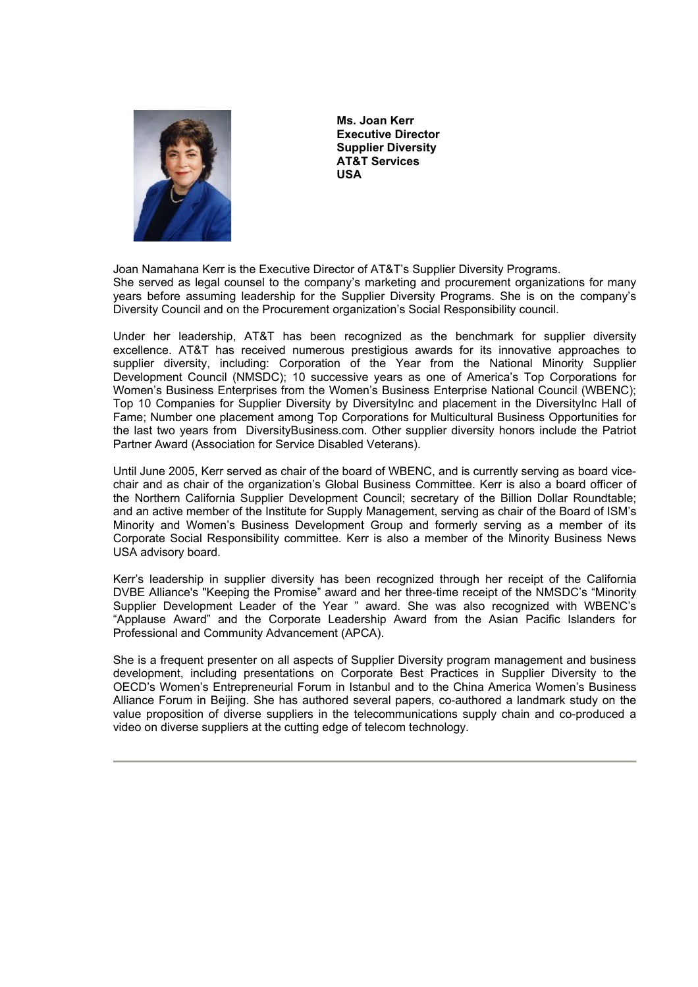

**Ms. Joan Kerr Executive Director Supplier Diversity AT&T Services USA** 

Joan Namahana Kerr is the Executive Director of AT&T's Supplier Diversity Programs. She served as legal counsel to the company's marketing and procurement organizations for many years before assuming leadership for the Supplier Diversity Programs. She is on the company's Diversity Council and on the Procurement organization's Social Responsibility council.

Under her leadership, AT&T has been recognized as the benchmark for supplier diversity excellence. AT&T has received numerous prestigious awards for its innovative approaches to supplier diversity, including: Corporation of the Year from the National Minority Supplier Development Council (NMSDC); 10 successive years as one of America's Top Corporations for Women's Business Enterprises from the Women's Business Enterprise National Council (WBENC); Top 10 Companies for Supplier Diversity by DiversityInc and placement in the DiversityInc Hall of Fame; Number one placement among Top Corporations for Multicultural Business Opportunities for the last two years from DiversityBusiness.com. Other supplier diversity honors include the Patriot Partner Award (Association for Service Disabled Veterans).

Until June 2005, Kerr served as chair of the board of WBENC, and is currently serving as board vicechair and as chair of the organization's Global Business Committee. Kerr is also a board officer of the Northern California Supplier Development Council; secretary of the Billion Dollar Roundtable; and an active member of the Institute for Supply Management, serving as chair of the Board of ISM's Minority and Women's Business Development Group and formerly serving as a member of its Corporate Social Responsibility committee. Kerr is also a member of the Minority Business News USA advisory board.

Kerr's leadership in supplier diversity has been recognized through her receipt of the California DVBE Alliance's "Keeping the Promise" award and her three-time receipt of the NMSDC's "Minority Supplier Development Leader of the Year " award. She was also recognized with WBENC's "Applause Award" and the Corporate Leadership Award from the Asian Pacific Islanders for Professional and Community Advancement (APCA).

She is a frequent presenter on all aspects of Supplier Diversity program management and business development, including presentations on Corporate Best Practices in Supplier Diversity to the OECD's Women's Entrepreneurial Forum in Istanbul and to the China America Women's Business Alliance Forum in Beijing. She has authored several papers, co-authored a landmark study on the value proposition of diverse suppliers in the telecommunications supply chain and co-produced a video on diverse suppliers at the cutting edge of telecom technology.